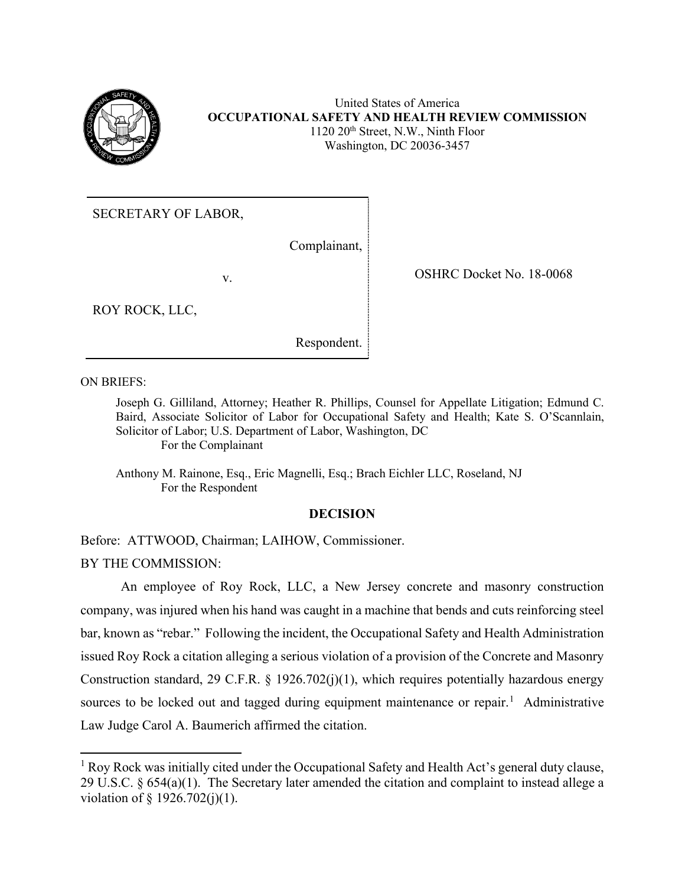

United States of America **OCCUPATIONAL SAFETY AND HEALTH REVIEW COMMISSION** 1120 20<sup>th</sup> Street, N.W., Ninth Floor Washington, DC 20036-3457

SECRETARY OF LABOR,

Complainant,

v. Solution of the COSHRC Docket No. 18-0068

ROY ROCK, LLC,

Respondent.

ON BRIEFS:

Joseph G. Gilliland, Attorney; Heather R. Phillips, Counsel for Appellate Litigation; Edmund C. Baird, Associate Solicitor of Labor for Occupational Safety and Health; Kate S. O'Scannlain, Solicitor of Labor; U.S. Department of Labor, Washington, DC For the Complainant

Anthony M. Rainone, Esq., Eric Magnelli, Esq.; Brach Eichler LLC, Roseland, NJ For the Respondent

# **DECISION**

Before: ATTWOOD, Chairman; LAIHOW, Commissioner.

BY THE COMMISSION:

An employee of Roy Rock, LLC, a New Jersey concrete and masonry construction company, was injured when his hand was caught in a machine that bends and cuts reinforcing steel bar, known as "rebar." Following the incident, the Occupational Safety and Health Administration issued Roy Rock a citation alleging a serious violation of a provision of the Concrete and Masonry Construction standard, 29 C.F.R. § 1926.702(j)(1), which requires potentially hazardous energy sources to be locked out and tagged during equipment maintenance or repair.<sup>[1](#page-0-0)</sup> Administrative Law Judge Carol A. Baumerich affirmed the citation.

<span id="page-0-0"></span> $<sup>1</sup>$  Roy Rock was initially cited under the Occupational Safety and Health Act's general duty clause,</sup> 29 U.S.C. § 654(a)(1). The Secretary later amended the citation and complaint to instead allege a violation of § 1926.702(j)(1).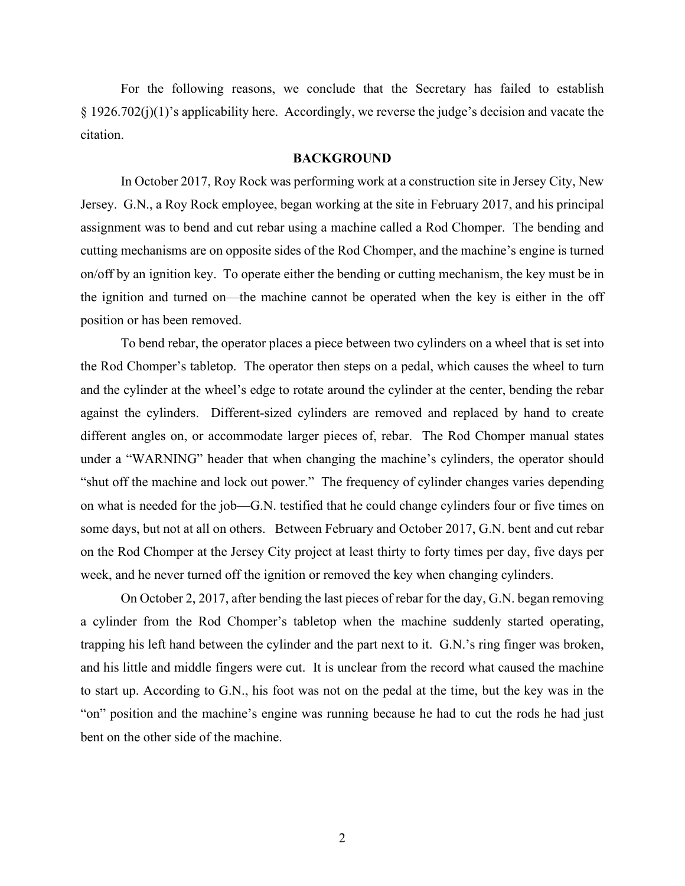For the following reasons, we conclude that the Secretary has failed to establish § 1926.702(j)(1)'s applicability here. Accordingly, we reverse the judge's decision and vacate the citation.

### **BACKGROUND**

In October 2017, Roy Rock was performing work at a construction site in Jersey City, New Jersey. G.N., a Roy Rock employee, began working at the site in February 2017, and his principal assignment was to bend and cut rebar using a machine called a Rod Chomper. The bending and cutting mechanisms are on opposite sides of the Rod Chomper, and the machine's engine is turned on/off by an ignition key. To operate either the bending or cutting mechanism, the key must be in the ignition and turned on—the machine cannot be operated when the key is either in the off position or has been removed.

To bend rebar, the operator places a piece between two cylinders on a wheel that is set into the Rod Chomper's tabletop. The operator then steps on a pedal, which causes the wheel to turn and the cylinder at the wheel's edge to rotate around the cylinder at the center, bending the rebar against the cylinders. Different-sized cylinders are removed and replaced by hand to create different angles on, or accommodate larger pieces of, rebar. The Rod Chomper manual states under a "WARNING" header that when changing the machine's cylinders, the operator should "shut off the machine and lock out power." The frequency of cylinder changes varies depending on what is needed for the job—G.N. testified that he could change cylinders four or five times on some days, but not at all on others. Between February and October 2017, G.N. bent and cut rebar on the Rod Chomper at the Jersey City project at least thirty to forty times per day, five days per week, and he never turned off the ignition or removed the key when changing cylinders.

On October 2, 2017, after bending the last pieces of rebar for the day, G.N. began removing a cylinder from the Rod Chomper's tabletop when the machine suddenly started operating, trapping his left hand between the cylinder and the part next to it. G.N.'s ring finger was broken, and his little and middle fingers were cut. It is unclear from the record what caused the machine to start up. According to G.N., his foot was not on the pedal at the time, but the key was in the "on" position and the machine's engine was running because he had to cut the rods he had just bent on the other side of the machine.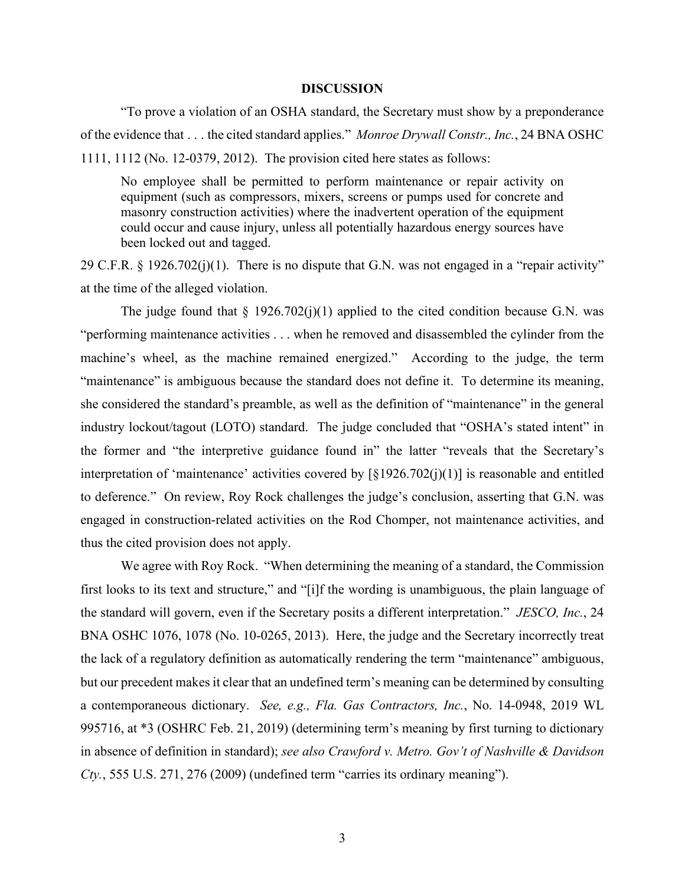### **DISCUSSION**

"To prove a violation of an OSHA standard, the Secretary must show by a preponderance of the evidence that . . . the cited standard applies." *Monroe Drywall Constr., Inc.*, 24 BNA OSHC 1111, 1112 (No. 12-0379, 2012). The provision cited here states as follows:

No employee shall be permitted to perform maintenance or repair activity on equipment (such as compressors, mixers, screens or pumps used for concrete and masonry construction activities) where the inadvertent operation of the equipment could occur and cause injury, unless all potentially hazardous energy sources have been locked out and tagged.

29 C.F.R. § 1926.702(j)(1). There is no dispute that G.N. was not engaged in a "repair activity" at the time of the alleged violation.

The judge found that  $\S$  1926.702(j)(1) applied to the cited condition because G.N. was "performing maintenance activities . . . when he removed and disassembled the cylinder from the machine's wheel, as the machine remained energized." According to the judge, the term "maintenance" is ambiguous because the standard does not define it. To determine its meaning, she considered the standard's preamble, as well as the definition of "maintenance" in the general industry lockout/tagout (LOTO) standard. The judge concluded that "OSHA's stated intent" in the former and "the interpretive guidance found in" the latter "reveals that the Secretary's interpretation of 'maintenance' activities covered by [§1926.702(j)(1)] is reasonable and entitled to deference." On review, Roy Rock challenges the judge's conclusion, asserting that G.N. was engaged in construction-related activities on the Rod Chomper, not maintenance activities, and thus the cited provision does not apply.

We agree with Roy Rock. "When determining the meaning of a standard, the Commission first looks to its text and structure," and "[i]f the wording is unambiguous, the plain language of the standard will govern, even if the Secretary posits a different interpretation." *JESCO, Inc.*, 24 BNA OSHC 1076, 1078 (No. 10-0265, 2013). Here, the judge and the Secretary incorrectly treat the lack of a regulatory definition as automatically rendering the term "maintenance" ambiguous, but our precedent makes it clear that an undefined term's meaning can be determined by consulting a contemporaneous dictionary. *See, e.g., Fla. Gas Contractors, Inc.*, No. 14-0948, 2019 WL 995716, at \*3 (OSHRC Feb. 21, 2019) (determining term's meaning by first turning to dictionary in absence of definition in standard); *see also Crawford v. Metro. Gov't of Nashville & Davidson Cty.*, 555 U.S. 271, 276 (2009) (undefined term "carries its ordinary meaning").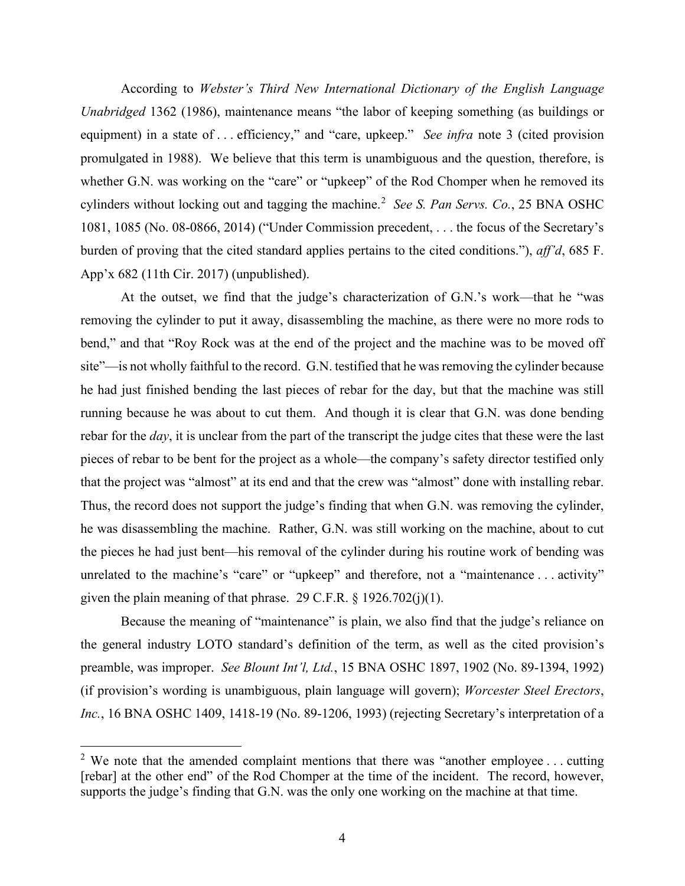According to *Webster's Third New International Dictionary of the English Language Unabridged* 1362 (1986), maintenance means "the labor of keeping something (as buildings or equipment) in a state of . . . efficiency," and "care, upkeep." *See infra* note 3 (cited provision promulgated in 1988). We believe that this term is unambiguous and the question, therefore, is whether G.N. was working on the "care" or "upkeep" of the Rod Chomper when he removed its cylinders without locking out and tagging the machine.<sup>[2](#page-3-0)</sup> See S. Pan Servs. Co., 25 BNA OSHC 1081, 1085 (No. 08-0866, 2014) ("Under Commission precedent, . . . the focus of the Secretary's burden of proving that the cited standard applies pertains to the cited conditions."), *aff'd*, 685 F. App'x 682 (11th Cir. 2017) (unpublished).

At the outset, we find that the judge's characterization of G.N.'s work—that he "was removing the cylinder to put it away, disassembling the machine, as there were no more rods to bend," and that "Roy Rock was at the end of the project and the machine was to be moved off site"—is not wholly faithful to the record. G.N. testified that he was removing the cylinder because he had just finished bending the last pieces of rebar for the day, but that the machine was still running because he was about to cut them. And though it is clear that G.N. was done bending rebar for the *day*, it is unclear from the part of the transcript the judge cites that these were the last pieces of rebar to be bent for the project as a whole—the company's safety director testified only that the project was "almost" at its end and that the crew was "almost" done with installing rebar. Thus, the record does not support the judge's finding that when G.N. was removing the cylinder, he was disassembling the machine. Rather, G.N. was still working on the machine, about to cut the pieces he had just bent—his removal of the cylinder during his routine work of bending was unrelated to the machine's "care" or "upkeep" and therefore, not a "maintenance ... activity" given the plain meaning of that phrase. 29 C.F.R.  $\S$  1926.702(j)(1).

Because the meaning of "maintenance" is plain, we also find that the judge's reliance on the general industry LOTO standard's definition of the term, as well as the cited provision's preamble, was improper. *See Blount Int'l, Ltd.*, 15 BNA OSHC 1897, 1902 (No. 89-1394, 1992) (if provision's wording is unambiguous, plain language will govern); *Worcester Steel Erectors*, *Inc.*, 16 BNA OSHC 1409, 1418-19 (No. 89-1206, 1993) (rejecting Secretary's interpretation of a

<span id="page-3-0"></span><sup>&</sup>lt;sup>2</sup> We note that the amended complaint mentions that there was "another employee ... cutting [rebar] at the other end" of the Rod Chomper at the time of the incident. The record, however, supports the judge's finding that G.N. was the only one working on the machine at that time.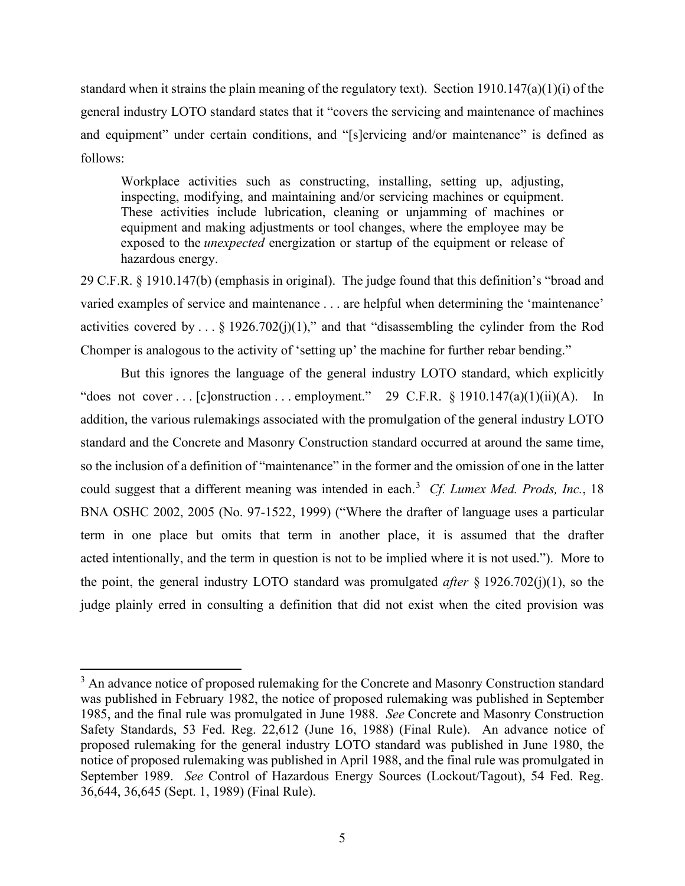standard when it strains the plain meaning of the regulatory text). Section 1910.147(a)(1)(i) of the general industry LOTO standard states that it "covers the servicing and maintenance of machines and equipment" under certain conditions, and "[s]ervicing and/or maintenance" is defined as follows:

Workplace activities such as constructing, installing, setting up, adjusting, inspecting, modifying, and maintaining and/or servicing machines or equipment. These activities include lubrication, cleaning or unjamming of machines or equipment and making adjustments or tool changes, where the employee may be exposed to the *unexpected* energization or startup of the equipment or release of hazardous energy.

29 C.F.R. § 1910.147(b) (emphasis in original). The judge found that this definition's "broad and varied examples of service and maintenance . . . are helpful when determining the 'maintenance' activities covered by  $\ldots$  § 1926.702(j)(1)," and that "disassembling the cylinder from the Rod Chomper is analogous to the activity of 'setting up' the machine for further rebar bending."

But this ignores the language of the general industry LOTO standard, which explicitly "does not cover . . . [c]onstruction . . . employment." 29 C.F.R.  $\S 1910.147(a)(1)(ii)(A)$ . In addition, the various rulemakings associated with the promulgation of the general industry LOTO standard and the Concrete and Masonry Construction standard occurred at around the same time, so the inclusion of a definition of "maintenance" in the former and the omission of one in the latter could suggest that a different meaning was intended in each. [3](#page-4-0) *Cf. Lumex Med. Prods, Inc.*, 18 BNA OSHC 2002, 2005 (No. 97-1522, 1999) ("Where the drafter of language uses a particular term in one place but omits that term in another place, it is assumed that the drafter acted intentionally, and the term in question is not to be implied where it is not used."). More to the point, the general industry LOTO standard was promulgated *after* § 1926.702(j)(1), so the judge plainly erred in consulting a definition that did not exist when the cited provision was

<span id="page-4-0"></span><sup>&</sup>lt;sup>3</sup> An advance notice of proposed rulemaking for the Concrete and Masonry Construction standard was published in February 1982, the notice of proposed rulemaking was published in September 1985, and the final rule was promulgated in June 1988. *See* Concrete and Masonry Construction Safety Standards, 53 Fed. Reg. 22,612 (June 16, 1988) (Final Rule). An advance notice of proposed rulemaking for the general industry LOTO standard was published in June 1980, the notice of proposed rulemaking was published in April 1988, and the final rule was promulgated in September 1989. *See* Control of Hazardous Energy Sources (Lockout/Tagout), 54 Fed. Reg. 36,644, 36,645 (Sept. 1, 1989) (Final Rule).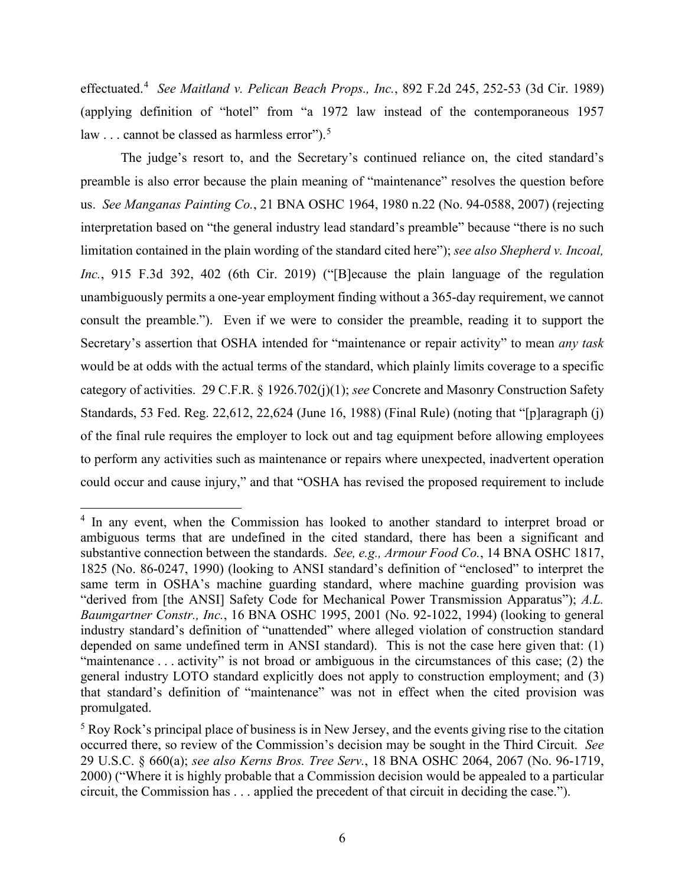effectuated. [4](#page-5-0) *See Maitland v. Pelican Beach Props., Inc.*, 892 F.2d 245, 252-53 (3d Cir. 1989) (applying definition of "hotel" from "a 1972 law instead of the contemporaneous 1957 law  $\ldots$  cannot be classed as harmless error").<sup>[5](#page-5-1)</sup>

The judge's resort to, and the Secretary's continued reliance on, the cited standard's preamble is also error because the plain meaning of "maintenance" resolves the question before us. *See Manganas Painting Co.*, 21 BNA OSHC 1964, 1980 n.22 (No. 94-0588, 2007) (rejecting interpretation based on "the general industry lead standard's preamble" because "there is no such limitation contained in the plain wording of the standard cited here"); *see also Shepherd v. Incoal, Inc.*, 915 F.3d 392, 402 (6th Cir. 2019) ("[B]ecause the plain language of the regulation unambiguously permits a one-year employment finding without a 365-day requirement, we cannot consult the preamble."). Even if we were to consider the preamble, reading it to support the Secretary's assertion that OSHA intended for "maintenance or repair activity" to mean *any task* would be at odds with the actual terms of the standard, which plainly limits coverage to a specific category of activities. 29 C.F.R. § 1926.702(j)(1); *see* Concrete and Masonry Construction Safety Standards, 53 Fed. Reg. 22,612, 22,624 (June 16, 1988) (Final Rule) (noting that "[p]aragraph (j) of the final rule requires the employer to lock out and tag equipment before allowing employees to perform any activities such as maintenance or repairs where unexpected, inadvertent operation could occur and cause injury," and that "OSHA has revised the proposed requirement to include

<span id="page-5-0"></span><sup>&</sup>lt;sup>4</sup> In any event, when the Commission has looked to another standard to interpret broad or ambiguous terms that are undefined in the cited standard, there has been a significant and substantive connection between the standards. *See, e.g., Armour Food Co.*, 14 BNA OSHC 1817, 1825 (No. 86-0247, 1990) (looking to ANSI standard's definition of "enclosed" to interpret the same term in OSHA's machine guarding standard, where machine guarding provision was "derived from [the ANSI] Safety Code for Mechanical Power Transmission Apparatus"); *A.L. Baumgartner Constr., Inc.*, 16 BNA OSHC 1995, 2001 (No. 92-1022, 1994) (looking to general industry standard's definition of "unattended" where alleged violation of construction standard depended on same undefined term in ANSI standard). This is not the case here given that: (1) "maintenance . . . activity" is not broad or ambiguous in the circumstances of this case; (2) the general industry LOTO standard explicitly does not apply to construction employment; and (3) that standard's definition of "maintenance" was not in effect when the cited provision was promulgated.

<span id="page-5-1"></span><sup>5</sup> Roy Rock's principal place of business is in New Jersey, and the events giving rise to the citation occurred there, so review of the Commission's decision may be sought in the Third Circuit. *See* 29 U.S.C. § 660(a); *see also Kerns Bros. Tree Serv.*, 18 BNA OSHC 2064, 2067 (No. 96-1719, 2000) ("Where it is highly probable that a Commission decision would be appealed to a particular circuit, the Commission has . . . applied the precedent of that circuit in deciding the case.").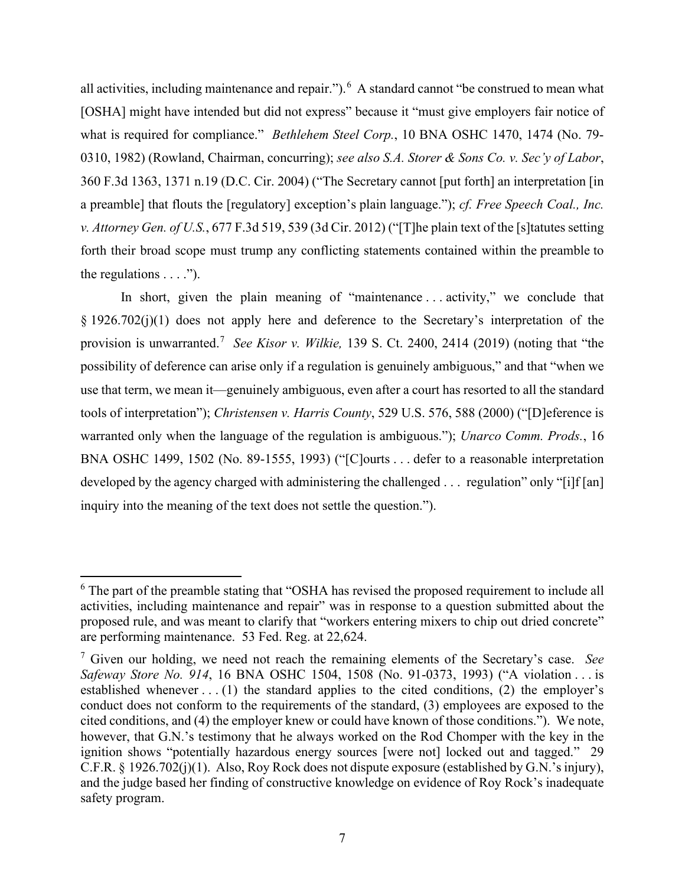all activities, including maintenance and repair."). <sup>[6](#page-6-0)</sup> A standard cannot "be construed to mean what [OSHA] might have intended but did not express" because it "must give employers fair notice of what is required for compliance." *Bethlehem Steel Corp.*, 10 BNA OSHC 1470, 1474 (No. 79- 0310, 1982) (Rowland, Chairman, concurring); *see also S.A. Storer & Sons Co. v. Sec'y of Labor*, 360 F.3d 1363, 1371 n.19 (D.C. Cir. 2004) ("The Secretary cannot [put forth] an interpretation [in a preamble] that flouts the [regulatory] exception's plain language."); *cf. Free Speech Coal., Inc. v. Attorney Gen. of U.S.*, 677 F.3d 519, 539 (3d Cir. 2012) ("[T]he plain text of the [s]tatutes setting forth their broad scope must trump any conflicting statements contained within the preamble to the regulations  $\dots$ .").

In short, given the plain meaning of "maintenance ... activity," we conclude that § 1926.702(j)(1) does not apply here and deference to the Secretary's interpretation of the provision is unwarranted.<sup>[7](#page-6-1)</sup> See Kisor v. Wilkie, 139 S. Ct. 2400, 2414 (2019) (noting that "the possibility of deference can arise only if a regulation is genuinely ambiguous," and that "when we use that term, we mean it—genuinely ambiguous, even after a court has resorted to all the standard tools of interpretation"); *Christensen v. Harris County*, 529 U.S. 576, 588 (2000) ("[D]eference is warranted only when the language of the regulation is ambiguous."); *Unarco Comm. Prods.*, 16 BNA OSHC 1499, 1502 (No. 89-1555, 1993) ("[C]ourts . . . defer to a reasonable interpretation developed by the agency charged with administering the challenged . . . regulation" only "[i]f [an] inquiry into the meaning of the text does not settle the question.").

<span id="page-6-0"></span><sup>&</sup>lt;sup>6</sup> The part of the preamble stating that "OSHA has revised the proposed requirement to include all activities, including maintenance and repair" was in response to a question submitted about the proposed rule, and was meant to clarify that "workers entering mixers to chip out dried concrete" are performing maintenance. 53 Fed. Reg. at 22,624.

<span id="page-6-1"></span><sup>7</sup> Given our holding, we need not reach the remaining elements of the Secretary's case. *See Safeway Store No. 914*, 16 BNA OSHC 1504, 1508 (No. 91-0373, 1993) ("A violation . . . is established whenever  $\dots$  (1) the standard applies to the cited conditions, (2) the employer's conduct does not conform to the requirements of the standard, (3) employees are exposed to the cited conditions, and (4) the employer knew or could have known of those conditions."). We note, however, that G.N.'s testimony that he always worked on the Rod Chomper with the key in the ignition shows "potentially hazardous energy sources [were not] locked out and tagged." 29 C.F.R. § 1926.702(j)(1). Also, Roy Rock does not dispute exposure (established by G.N.'s injury), and the judge based her finding of constructive knowledge on evidence of Roy Rock's inadequate safety program.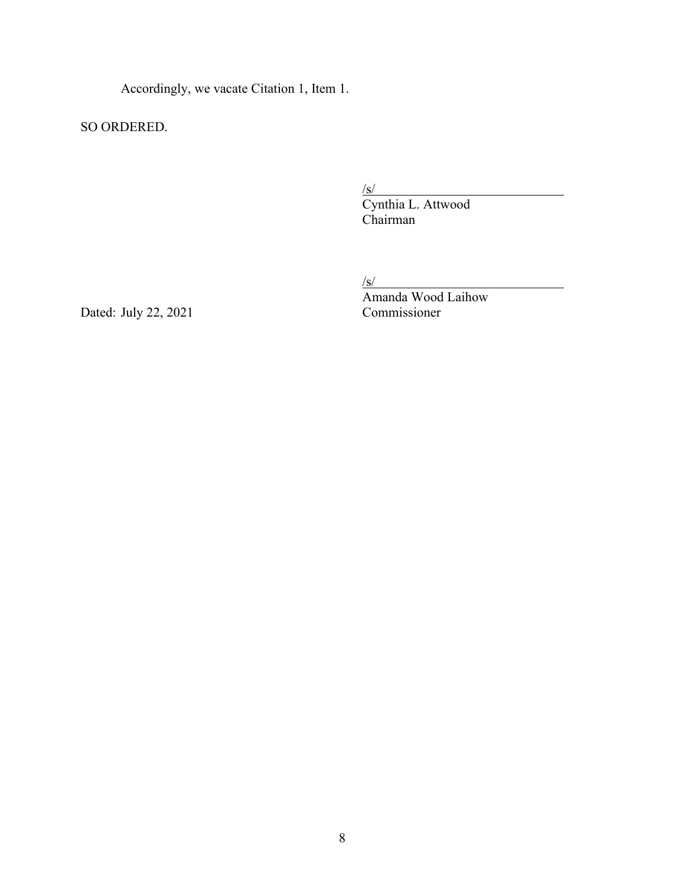Accordingly, we vacate Citation 1, Item 1.

SO ORDERED.

 $\sqrt{s/2}$ 

 Cynthia L. Attwood Chairman

/s/

Dated: July 22, 2021

Amanda Wood Laihow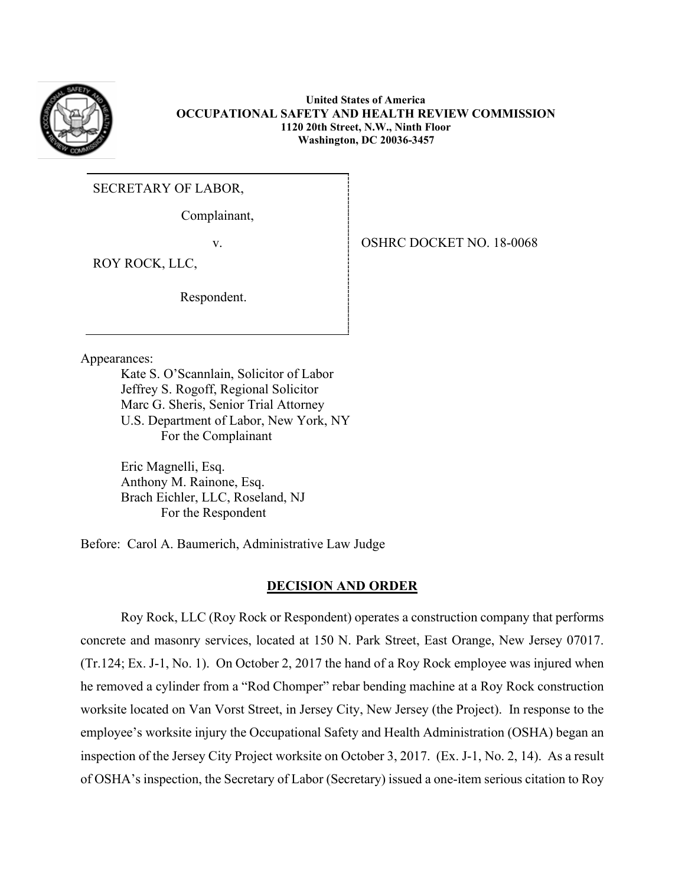

**United States of America OCCUPATIONAL SAFETY AND HEALTH REVIEW COMMISSION 1120 20th Street, N.W., Ninth Floor Washington, DC 20036-3457**

SECRETARY OF LABOR,

Complainant,

ROY ROCK, LLC,

Respondent.

Appearances:

Kate S. O'Scannlain, Solicitor of Labor Jeffrey S. Rogoff, Regional Solicitor Marc G. Sheris, Senior Trial Attorney U.S. Department of Labor, New York, NY For the Complainant

Eric Magnelli, Esq. Anthony M. Rainone, Esq. Brach Eichler, LLC, Roseland, NJ For the Respondent

Before: Carol A. Baumerich, Administrative Law Judge

# **DECISION AND ORDER**

Roy Rock, LLC (Roy Rock or Respondent) operates a construction company that performs concrete and masonry services, located at 150 N. Park Street, East Orange, New Jersey 07017. (Tr.124; Ex. J-1, No. 1). On October 2, 2017 the hand of a Roy Rock employee was injured when he removed a cylinder from a "Rod Chomper" rebar bending machine at a Roy Rock construction worksite located on Van Vorst Street, in Jersey City, New Jersey (the Project). In response to the employee's worksite injury the Occupational Safety and Health Administration (OSHA) began an inspection of the Jersey City Project worksite on October 3, 2017. (Ex. J-1, No. 2, 14). As a result of OSHA's inspection, the Secretary of Labor (Secretary) issued a one-item serious citation to Roy

v. 99. SHRC DOCKET NO. 18-0068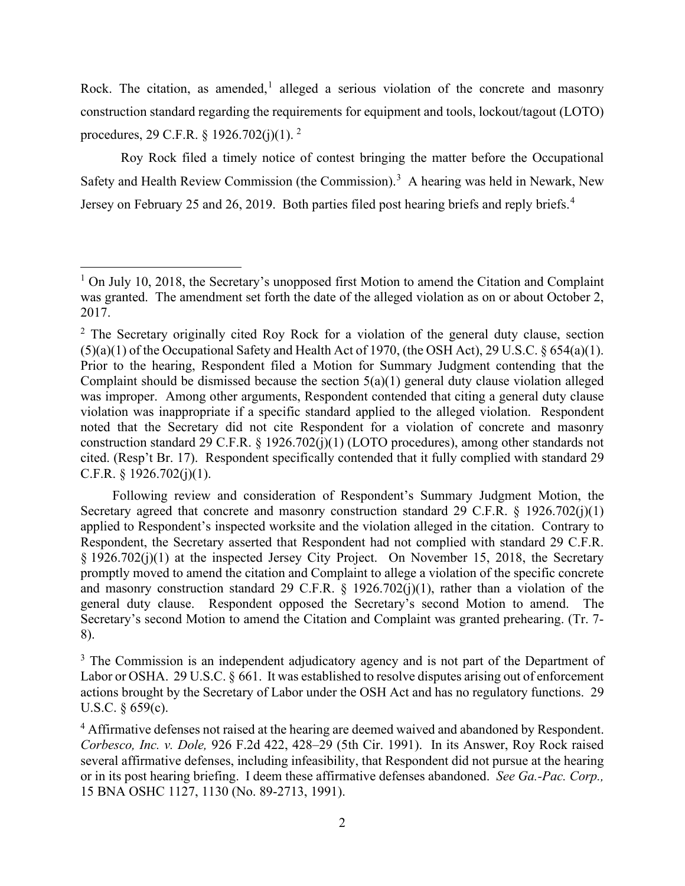Rock. The citation, as amended,<sup>[1](#page-9-0)</sup> alleged a serious violation of the concrete and masonry construction standard regarding the requirements for equipment and tools, lockout/tagout (LOTO) procedures, [2](#page-9-1)9 C.F.R.  $\S$  1926.702(j)(1).<sup>2</sup>

Roy Rock filed a timely notice of contest bringing the matter before the Occupational Safety and Health Review Commission (the Commission).<sup>[3](#page-9-2)</sup> A hearing was held in Newark, New Jersey on February 25 and 26, 2019. Both parties filed post hearing briefs and reply briefs.<sup>[4](#page-9-3)</sup>

<span id="page-9-0"></span> $1$  On July 10, 2018, the Secretary's unopposed first Motion to amend the Citation and Complaint was granted. The amendment set forth the date of the alleged violation as on or about October 2, 2017.

<span id="page-9-1"></span> $2$  The Secretary originally cited Roy Rock for a violation of the general duty clause, section (5)(a)(1) of the Occupational Safety and Health Act of 1970, (the OSH Act), 29 U.S.C. § 654(a)(1). Prior to the hearing, Respondent filed a Motion for Summary Judgment contending that the Complaint should be dismissed because the section  $5(a)(1)$  general duty clause violation alleged was improper. Among other arguments, Respondent contended that citing a general duty clause violation was inappropriate if a specific standard applied to the alleged violation. Respondent noted that the Secretary did not cite Respondent for a violation of concrete and masonry construction standard 29 C.F.R. § 1926.702(j)(1) (LOTO procedures), among other standards not cited. (Resp't Br. 17). Respondent specifically contended that it fully complied with standard 29 C.F.R.  $\S$  1926.702(j)(1).

Following review and consideration of Respondent's Summary Judgment Motion, the Secretary agreed that concrete and masonry construction standard 29 C.F.R. § 1926.702(j)(1) applied to Respondent's inspected worksite and the violation alleged in the citation. Contrary to Respondent, the Secretary asserted that Respondent had not complied with standard 29 C.F.R. § 1926.702(j)(1) at the inspected Jersey City Project. On November 15, 2018, the Secretary promptly moved to amend the citation and Complaint to allege a violation of the specific concrete and masonry construction standard 29 C.F.R.  $\S$  1926.702(j)(1), rather than a violation of the general duty clause. Respondent opposed the Secretary's second Motion to amend. The Secretary's second Motion to amend the Citation and Complaint was granted prehearing. (Tr. 7- 8).

<span id="page-9-2"></span><sup>&</sup>lt;sup>3</sup> The Commission is an independent adjudicatory agency and is not part of the Department of Labor or OSHA. 29 U.S.C. § 661. It was established to resolve disputes arising out of enforcement actions brought by the Secretary of Labor under the OSH Act and has no regulatory functions. 29 U.S.C. § 659(c).

<span id="page-9-3"></span><sup>&</sup>lt;sup>4</sup> Affirmative defenses not raised at the hearing are deemed waived and abandoned by Respondent. *Corbesco, Inc. v. Dole,* 926 F.2d 422, 428–29 (5th Cir. 1991). In its Answer, Roy Rock raised several affirmative defenses, including infeasibility, that Respondent did not pursue at the hearing or in its post hearing briefing. I deem these affirmative defenses abandoned. *See Ga.-Pac. Corp.,* 15 BNA OSHC 1127, 1130 (No. 89-2713, 1991).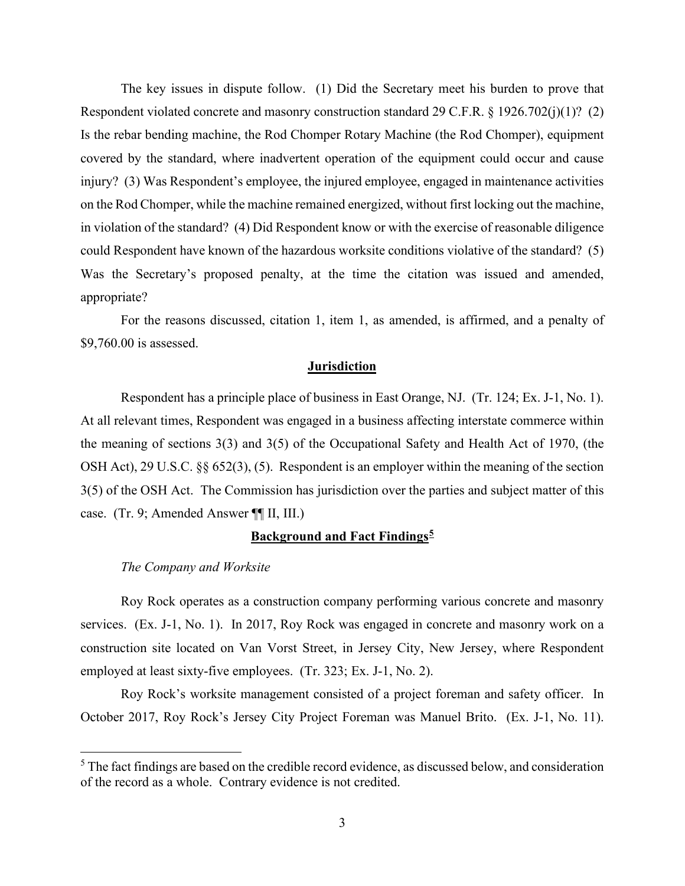The key issues in dispute follow. (1) Did the Secretary meet his burden to prove that Respondent violated concrete and masonry construction standard 29 C.F.R. § 1926.702(j)(1)? (2) Is the rebar bending machine, the Rod Chomper Rotary Machine (the Rod Chomper), equipment covered by the standard, where inadvertent operation of the equipment could occur and cause injury? (3) Was Respondent's employee, the injured employee, engaged in maintenance activities on the Rod Chomper, while the machine remained energized, without first locking out the machine, in violation of the standard? (4) Did Respondent know or with the exercise of reasonable diligence could Respondent have known of the hazardous worksite conditions violative of the standard? (5) Was the Secretary's proposed penalty, at the time the citation was issued and amended, appropriate?

For the reasons discussed, citation 1, item 1, as amended, is affirmed, and a penalty of \$9,760.00 is assessed.

# **Jurisdiction**

Respondent has a principle place of business in East Orange, NJ. (Tr. 124; Ex. J-1, No. 1). At all relevant times, Respondent was engaged in a business affecting interstate commerce within the meaning of sections 3(3) and 3(5) of the Occupational Safety and Health Act of 1970, (the OSH Act), 29 U.S.C. §§ 652(3), (5). Respondent is an employer within the meaning of the section 3(5) of the OSH Act. The Commission has jurisdiction over the parties and subject matter of this case. (Tr. 9; Amended Answer ¶¶ II, III.)

# **Background and Fact Findings[5](#page-10-0)**

# *The Company and Worksite*

Roy Rock operates as a construction company performing various concrete and masonry services. (Ex. J-1, No. 1). In 2017, Roy Rock was engaged in concrete and masonry work on a construction site located on Van Vorst Street, in Jersey City, New Jersey, where Respondent employed at least sixty-five employees. (Tr. 323; Ex. J-1, No. 2).

Roy Rock's worksite management consisted of a project foreman and safety officer. In October 2017, Roy Rock's Jersey City Project Foreman was Manuel Brito. (Ex. J-1, No. 11).

<span id="page-10-0"></span><sup>&</sup>lt;sup>5</sup> The fact findings are based on the credible record evidence, as discussed below, and consideration of the record as a whole. Contrary evidence is not credited.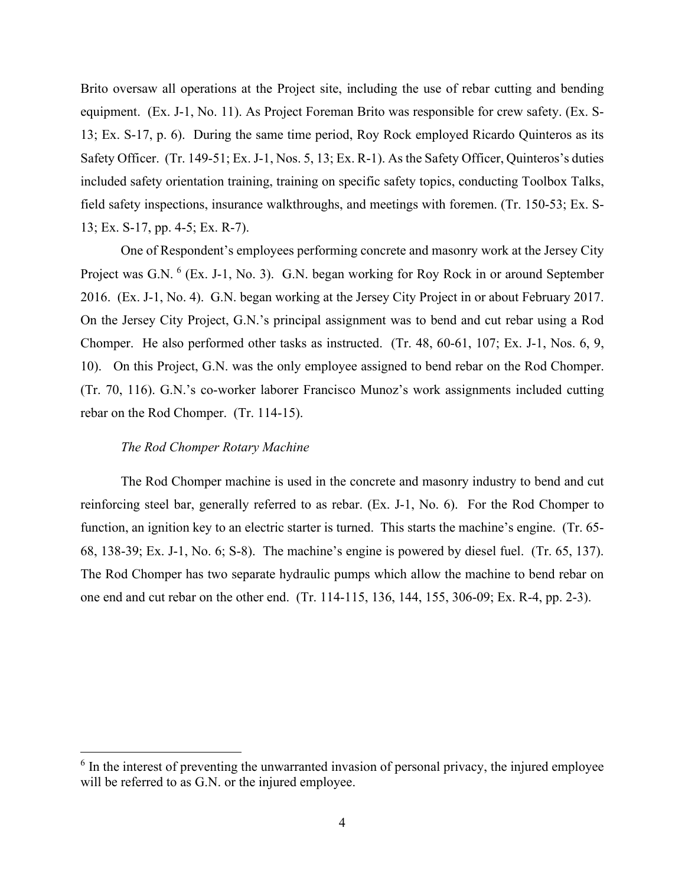Brito oversaw all operations at the Project site, including the use of rebar cutting and bending equipment. (Ex. J-1, No. 11). As Project Foreman Brito was responsible for crew safety. (Ex. S-13; Ex. S-17, p. 6). During the same time period, Roy Rock employed Ricardo Quinteros as its Safety Officer. (Tr. 149-51; Ex. J-1, Nos. 5, 13; Ex. R-1). As the Safety Officer, Quinteros's duties included safety orientation training, training on specific safety topics, conducting Toolbox Talks, field safety inspections, insurance walkthroughs, and meetings with foremen. (Tr. 150-53; Ex. S-13; Ex. S-17, pp. 4-5; Ex. R-7).

One of Respondent's employees performing concrete and masonry work at the Jersey City Project was G.N. <sup>[6](#page-11-0)</sup> (Ex. J-1, No. 3). G.N. began working for Roy Rock in or around September 2016. (Ex. J-1, No. 4). G.N. began working at the Jersey City Project in or about February 2017. On the Jersey City Project, G.N.'s principal assignment was to bend and cut rebar using a Rod Chomper. He also performed other tasks as instructed. (Tr. 48, 60-61, 107; Ex. J-1, Nos. 6, 9, 10). On this Project, G.N. was the only employee assigned to bend rebar on the Rod Chomper. (Tr. 70, 116). G.N.'s co-worker laborer Francisco Munoz's work assignments included cutting rebar on the Rod Chomper. (Tr. 114-15).

### *The Rod Chomper Rotary Machine*

The Rod Chomper machine is used in the concrete and masonry industry to bend and cut reinforcing steel bar, generally referred to as rebar. (Ex. J-1, No. 6). For the Rod Chomper to function, an ignition key to an electric starter is turned. This starts the machine's engine. (Tr. 65- 68, 138-39; Ex. J-1, No. 6; S-8). The machine's engine is powered by diesel fuel. (Tr. 65, 137). The Rod Chomper has two separate hydraulic pumps which allow the machine to bend rebar on one end and cut rebar on the other end. (Tr. 114-115, 136, 144, 155, 306-09; Ex. R-4, pp. 2-3).

<span id="page-11-0"></span> $6$  In the interest of preventing the unwarranted invasion of personal privacy, the injured employee will be referred to as G.N. or the injured employee.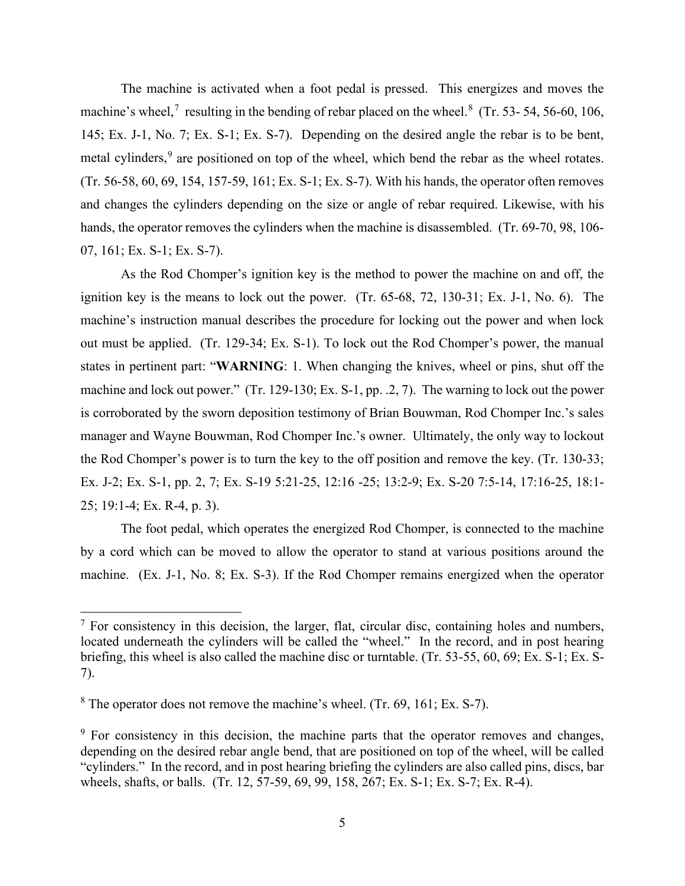The machine is activated when a foot pedal is pressed. This energizes and moves the machine's wheel,<sup>[7](#page-12-0)</sup> resulting in the bending of rebar placed on the wheel.<sup>[8](#page-12-1)</sup> (Tr. 53-54, 56-60, 106, 145; Ex. J-1, No. 7; Ex. S-1; Ex. S-7). Depending on the desired angle the rebar is to be bent, metal cylinders,<sup>[9](#page-12-2)</sup> are positioned on top of the wheel, which bend the rebar as the wheel rotates. (Tr. 56-58, 60, 69, 154, 157-59, 161; Ex. S-1; Ex. S-7). With his hands, the operator often removes and changes the cylinders depending on the size or angle of rebar required. Likewise, with his hands, the operator removes the cylinders when the machine is disassembled. (Tr. 69-70, 98, 106- 07, 161; Ex. S-1; Ex. S-7).

As the Rod Chomper's ignition key is the method to power the machine on and off, the ignition key is the means to lock out the power. (Tr. 65-68, 72, 130-31; Ex. J-1, No. 6). The machine's instruction manual describes the procedure for locking out the power and when lock out must be applied. (Tr. 129-34; Ex. S-1). To lock out the Rod Chomper's power, the manual states in pertinent part: "**WARNING**: 1. When changing the knives, wheel or pins, shut off the machine and lock out power." (Tr. 129-130; Ex. S-1, pp. .2, 7). The warning to lock out the power is corroborated by the sworn deposition testimony of Brian Bouwman, Rod Chomper Inc.'s sales manager and Wayne Bouwman, Rod Chomper Inc.'s owner. Ultimately, the only way to lockout the Rod Chomper's power is to turn the key to the off position and remove the key. (Tr. 130-33; Ex. J-2; Ex. S-1, pp. 2, 7; Ex. S-19 5:21-25, 12:16 -25; 13:2-9; Ex. S-20 7:5-14, 17:16-25, 18:1- 25; 19:1-4; Ex. R-4, p. 3).

The foot pedal, which operates the energized Rod Chomper, is connected to the machine by a cord which can be moved to allow the operator to stand at various positions around the machine. (Ex. J-1, No. 8; Ex. S-3). If the Rod Chomper remains energized when the operator

<span id="page-12-0"></span><sup>&</sup>lt;sup>7</sup> For consistency in this decision, the larger, flat, circular disc, containing holes and numbers, located underneath the cylinders will be called the "wheel." In the record, and in post hearing briefing, this wheel is also called the machine disc or turntable. (Tr. 53-55, 60, 69; Ex. S-1; Ex. S-7).

<span id="page-12-1"></span> $8$  The operator does not remove the machine's wheel. (Tr. 69, 161; Ex. S-7).

<span id="page-12-2"></span> $9\,$  For consistency in this decision, the machine parts that the operator removes and changes, depending on the desired rebar angle bend, that are positioned on top of the wheel, will be called "cylinders." In the record, and in post hearing briefing the cylinders are also called pins, discs, bar wheels, shafts, or balls. (Tr. 12, 57-59, 69, 99, 158, 267; Ex. S-1; Ex. S-7; Ex. R-4).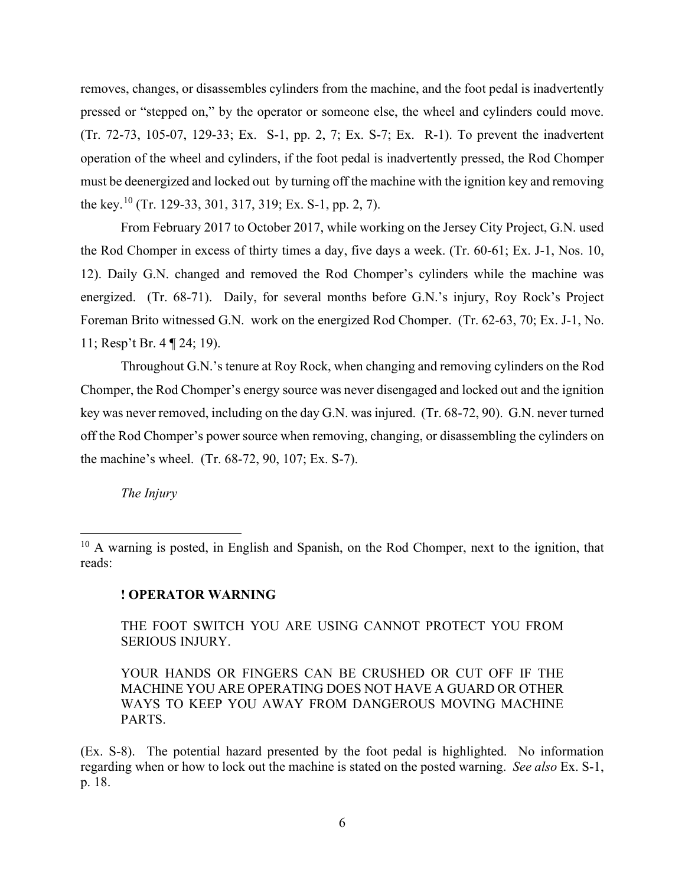removes, changes, or disassembles cylinders from the machine, and the foot pedal is inadvertently pressed or "stepped on," by the operator or someone else, the wheel and cylinders could move. (Tr. 72-73, 105-07, 129-33; Ex. S-1, pp. 2, 7; Ex. S-7; Ex. R-1). To prevent the inadvertent operation of the wheel and cylinders, if the foot pedal is inadvertently pressed, the Rod Chomper must be deenergized and locked out by turning off the machine with the ignition key and removing the key.[10](#page-13-0) (Tr. 129-33, 301, 317, 319; Ex. S-1, pp. 2, 7).

From February 2017 to October 2017, while working on the Jersey City Project, G.N. used the Rod Chomper in excess of thirty times a day, five days a week. (Tr. 60-61; Ex. J-1, Nos. 10, 12). Daily G.N. changed and removed the Rod Chomper's cylinders while the machine was energized. (Tr. 68-71). Daily, for several months before G.N.'s injury, Roy Rock's Project Foreman Brito witnessed G.N. work on the energized Rod Chomper. (Tr. 62-63, 70; Ex. J-1, No. 11; Resp't Br. 4 ¶ 24; 19).

Throughout G.N.'s tenure at Roy Rock, when changing and removing cylinders on the Rod Chomper, the Rod Chomper's energy source was never disengaged and locked out and the ignition key was never removed, including on the day G.N. was injured. (Tr. 68-72, 90). G.N. never turned off the Rod Chomper's power source when removing, changing, or disassembling the cylinders on the machine's wheel. (Tr. 68-72, 90, 107; Ex. S-7).

*The Injury* 

# **! OPERATOR WARNING**

THE FOOT SWITCH YOU ARE USING CANNOT PROTECT YOU FROM SERIOUS INJURY.

YOUR HANDS OR FINGERS CAN BE CRUSHED OR CUT OFF IF THE MACHINE YOU ARE OPERATING DOES NOT HAVE A GUARD OR OTHER WAYS TO KEEP YOU AWAY FROM DANGEROUS MOVING MACHINE PARTS.

(Ex. S-8). The potential hazard presented by the foot pedal is highlighted. No information regarding when or how to lock out the machine is stated on the posted warning. *See also* Ex. S-1, p. 18.

<span id="page-13-0"></span> $10$  A warning is posted, in English and Spanish, on the Rod Chomper, next to the ignition, that reads: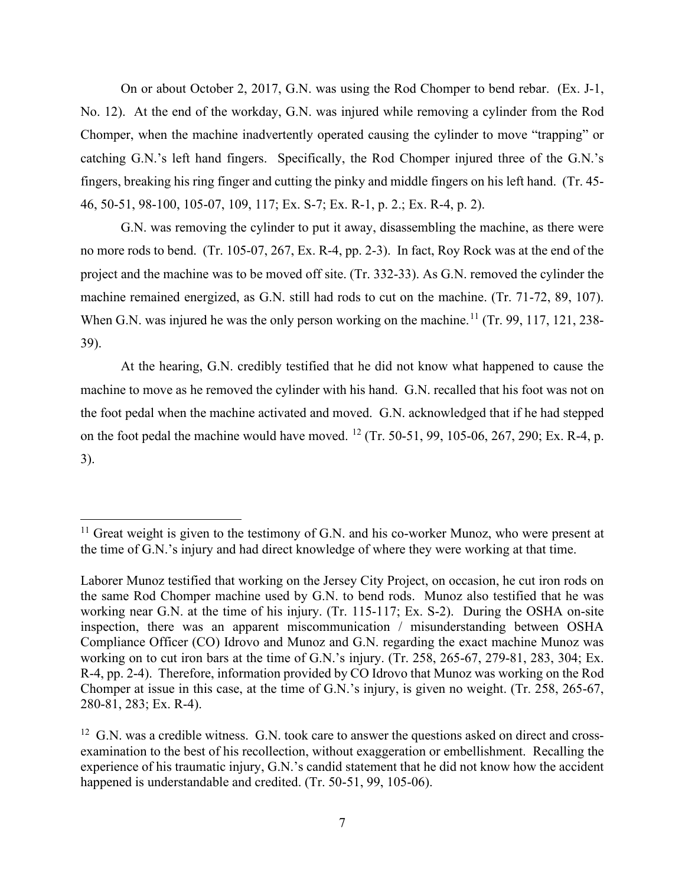On or about October 2, 2017, G.N. was using the Rod Chomper to bend rebar. (Ex. J-1, No. 12). At the end of the workday, G.N. was injured while removing a cylinder from the Rod Chomper, when the machine inadvertently operated causing the cylinder to move "trapping" or catching G.N.'s left hand fingers. Specifically, the Rod Chomper injured three of the G.N.'s fingers, breaking his ring finger and cutting the pinky and middle fingers on his left hand. (Tr. 45- 46, 50-51, 98-100, 105-07, 109, 117; Ex. S-7; Ex. R-1, p. 2.; Ex. R-4, p. 2).

G.N. was removing the cylinder to put it away, disassembling the machine, as there were no more rods to bend. (Tr. 105-07, 267, Ex. R-4, pp. 2-3). In fact, Roy Rock was at the end of the project and the machine was to be moved off site. (Tr. 332-33). As G.N. removed the cylinder the machine remained energized, as G.N. still had rods to cut on the machine. (Tr. 71-72, 89, 107). When G.N. was injured he was the only person working on the machine.<sup>[11](#page-14-0)</sup> (Tr. 99, 117, 121, 238-39).

At the hearing, G.N. credibly testified that he did not know what happened to cause the machine to move as he removed the cylinder with his hand. G.N. recalled that his foot was not on the foot pedal when the machine activated and moved. G.N. acknowledged that if he had stepped on the foot pedal the machine would have moved. <sup>[12](#page-14-1)</sup> (Tr. 50-51, 99, 105-06, 267, 290; Ex. R-4, p. 3).

<span id="page-14-0"></span> $11$  Great weight is given to the testimony of G.N. and his co-worker Munoz, who were present at the time of G.N.'s injury and had direct knowledge of where they were working at that time.

Laborer Munoz testified that working on the Jersey City Project, on occasion, he cut iron rods on the same Rod Chomper machine used by G.N. to bend rods. Munoz also testified that he was working near G.N. at the time of his injury. (Tr. 115-117; Ex. S-2). During the OSHA on-site inspection, there was an apparent miscommunication / misunderstanding between OSHA Compliance Officer (CO) Idrovo and Munoz and G.N. regarding the exact machine Munoz was working on to cut iron bars at the time of G.N.'s injury. (Tr. 258, 265-67, 279-81, 283, 304; Ex. R-4, pp. 2-4). Therefore, information provided by CO Idrovo that Munoz was working on the Rod Chomper at issue in this case, at the time of G.N.'s injury, is given no weight. (Tr. 258, 265-67, 280-81, 283; Ex. R-4).

<span id="page-14-1"></span> $12$  G.N. was a credible witness. G.N. took care to answer the questions asked on direct and crossexamination to the best of his recollection, without exaggeration or embellishment. Recalling the experience of his traumatic injury, G.N.'s candid statement that he did not know how the accident happened is understandable and credited. (Tr. 50-51, 99, 105-06).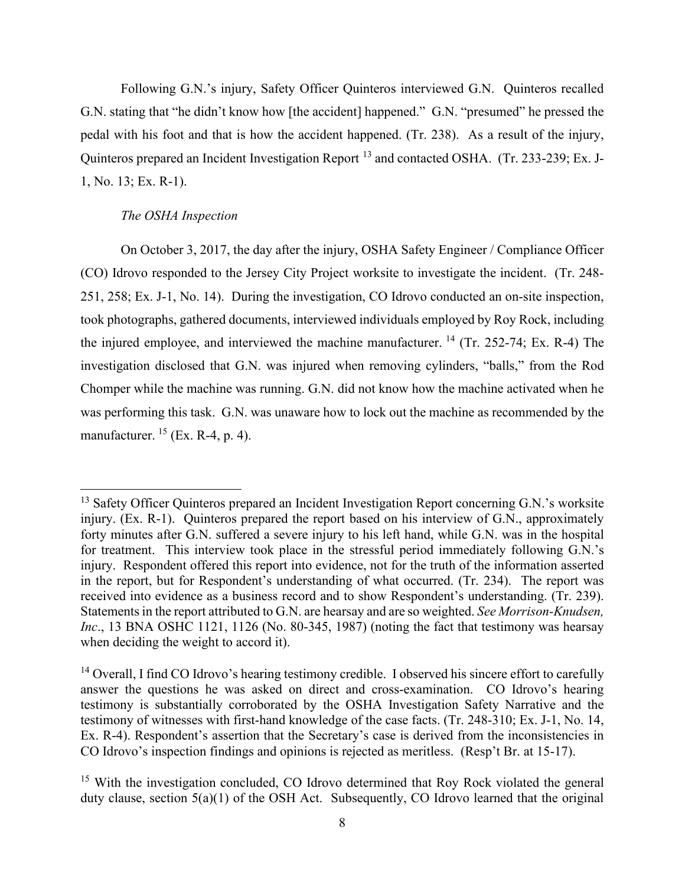Following G.N.'s injury, Safety Officer Quinteros interviewed G.N. Quinteros recalled G.N. stating that "he didn't know how [the accident] happened." G.N. "presumed" he pressed the pedal with his foot and that is how the accident happened. (Tr. 238). As a result of the injury, Quinteros prepared an Incident Investigation Report<sup>[13](#page-15-0)</sup> and contacted OSHA. (Tr. 233-239; Ex. J-1, No. 13; Ex. R-1).

### *The OSHA Inspection*

On October 3, 2017, the day after the injury, OSHA Safety Engineer / Compliance Officer (CO) Idrovo responded to the Jersey City Project worksite to investigate the incident. (Tr. 248- 251, 258; Ex. J-1, No. 14). During the investigation, CO Idrovo conducted an on-site inspection, took photographs, gathered documents, interviewed individuals employed by Roy Rock, including the injured employee, and interviewed the machine manufacturer.  $^{14}$  $^{14}$  $^{14}$  (Tr. 252-74; Ex. R-4) The investigation disclosed that G.N. was injured when removing cylinders, "balls," from the Rod Chomper while the machine was running. G.N. did not know how the machine activated when he was performing this task. G.N. was unaware how to lock out the machine as recommended by the manufacturer.  $^{15}$  (Ex. R-4, p. 4).

<span id="page-15-0"></span><sup>&</sup>lt;sup>13</sup> Safety Officer Quinteros prepared an Incident Investigation Report concerning G.N.'s worksite injury. (Ex. R-1). Quinteros prepared the report based on his interview of G.N., approximately forty minutes after G.N. suffered a severe injury to his left hand, while G.N. was in the hospital for treatment. This interview took place in the stressful period immediately following G.N.'s injury. Respondent offered this report into evidence, not for the truth of the information asserted in the report, but for Respondent's understanding of what occurred. (Tr. 234). The report was received into evidence as a business record and to show Respondent's understanding. (Tr. 239). Statements in the report attributed to G.N. are hearsay and are so weighted. *See Morrison-Knudsen, Inc*., 13 BNA OSHC 1121, 1126 (No. 80-345, 1987) (noting the fact that testimony was hearsay when deciding the weight to accord it).

<span id="page-15-1"></span><sup>&</sup>lt;sup>14</sup> Overall, I find CO Idrovo's hearing testimony credible. I observed his sincere effort to carefully answer the questions he was asked on direct and cross-examination. CO Idrovo's hearing testimony is substantially corroborated by the OSHA Investigation Safety Narrative and the testimony of witnesses with first-hand knowledge of the case facts. (Tr. 248-310; Ex. J-1, No. 14, Ex. R-4). Respondent's assertion that the Secretary's case is derived from the inconsistencies in CO Idrovo's inspection findings and opinions is rejected as meritless. (Resp't Br. at 15-17).

<span id="page-15-2"></span><sup>&</sup>lt;sup>15</sup> With the investigation concluded, CO Idrovo determined that Roy Rock violated the general duty clause, section 5(a)(1) of the OSH Act. Subsequently, CO Idrovo learned that the original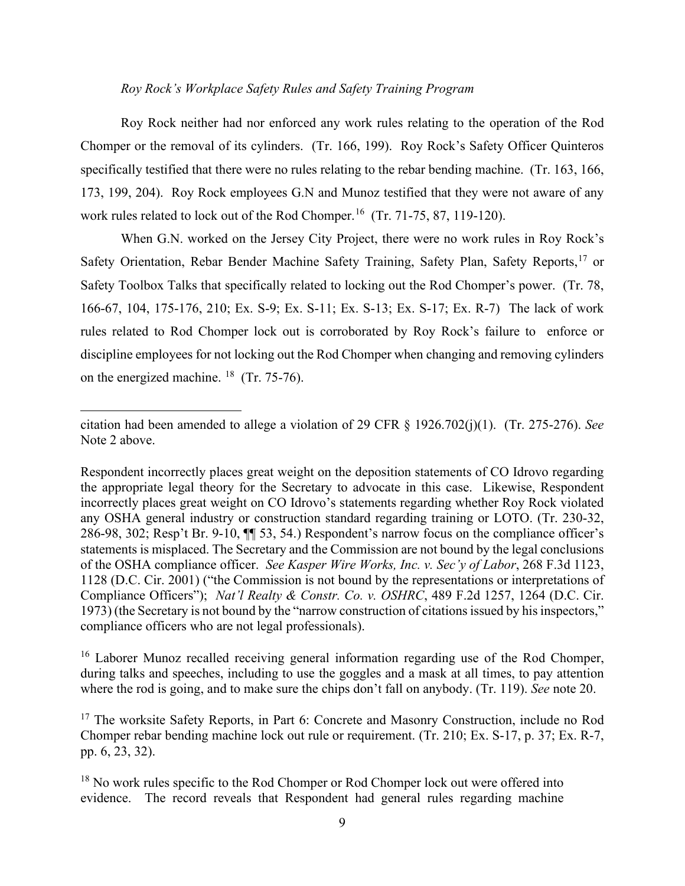## *Roy Rock's Workplace Safety Rules and Safety Training Program*

Roy Rock neither had nor enforced any work rules relating to the operation of the Rod Chomper or the removal of its cylinders. (Tr. 166, 199). Roy Rock's Safety Officer Quinteros specifically testified that there were no rules relating to the rebar bending machine. (Tr. 163, 166, 173, 199, 204). Roy Rock employees G.N and Munoz testified that they were not aware of any work rules related to lock out of the Rod Chomper.<sup>16</sup> (Tr. 71-75, 87, 119-120).

When G.N. worked on the Jersey City Project, there were no work rules in Roy Rock's Safety Orientation, Rebar Bender Machine Safety Training, Safety Plan, Safety Reports,<sup>[17](#page-16-1)</sup> or Safety Toolbox Talks that specifically related to locking out the Rod Chomper's power. (Tr. 78, 166-67, 104, 175-176, 210; Ex. S-9; Ex. S-11; Ex. S-13; Ex. S-17; Ex. R-7) The lack of work rules related to Rod Chomper lock out is corroborated by Roy Rock's failure to enforce or discipline employees for not locking out the Rod Chomper when changing and removing cylinders on the energized machine.  $18$  (Tr. 75-76).

Respondent incorrectly places great weight on the deposition statements of CO Idrovo regarding the appropriate legal theory for the Secretary to advocate in this case. Likewise, Respondent incorrectly places great weight on CO Idrovo's statements regarding whether Roy Rock violated any OSHA general industry or construction standard regarding training or LOTO. (Tr. 230-32, 286-98, 302; Resp't Br. 9-10, ¶¶ 53, 54.) Respondent's narrow focus on the compliance officer's statements is misplaced. The Secretary and the Commission are not bound by the legal conclusions of the OSHA compliance officer. *See Kasper Wire Works, Inc. v. Sec'y of Labor*, 268 F.3d 1123, 1128 (D.C. Cir. 2001) ("the Commission is not bound by the representations or interpretations of Compliance Officers"); *Nat'l Realty & Constr. Co. v. OSHRC*, 489 F.2d 1257, 1264 (D.C. Cir. 1973) (the Secretary is not bound by the "narrow construction of citations issued by his inspectors," compliance officers who are not legal professionals).

<span id="page-16-0"></span><sup>16</sup> Laborer Munoz recalled receiving general information regarding use of the Rod Chomper, during talks and speeches, including to use the goggles and a mask at all times, to pay attention where the rod is going, and to make sure the chips don't fall on anybody. (Tr. 119). *See* note 20.

<span id="page-16-1"></span><sup>17</sup> The worksite Safety Reports, in Part 6: Concrete and Masonry Construction, include no Rod Chomper rebar bending machine lock out rule or requirement. (Tr. 210; Ex. S-17, p. 37; Ex. R-7, pp. 6, 23, 32).

<span id="page-16-2"></span><sup>18</sup> No work rules specific to the Rod Chomper or Rod Chomper lock out were offered into evidence. The record reveals that Respondent had general rules regarding machine

citation had been amended to allege a violation of 29 CFR § 1926.702(j)(1). (Tr. 275-276). *See* Note 2 above.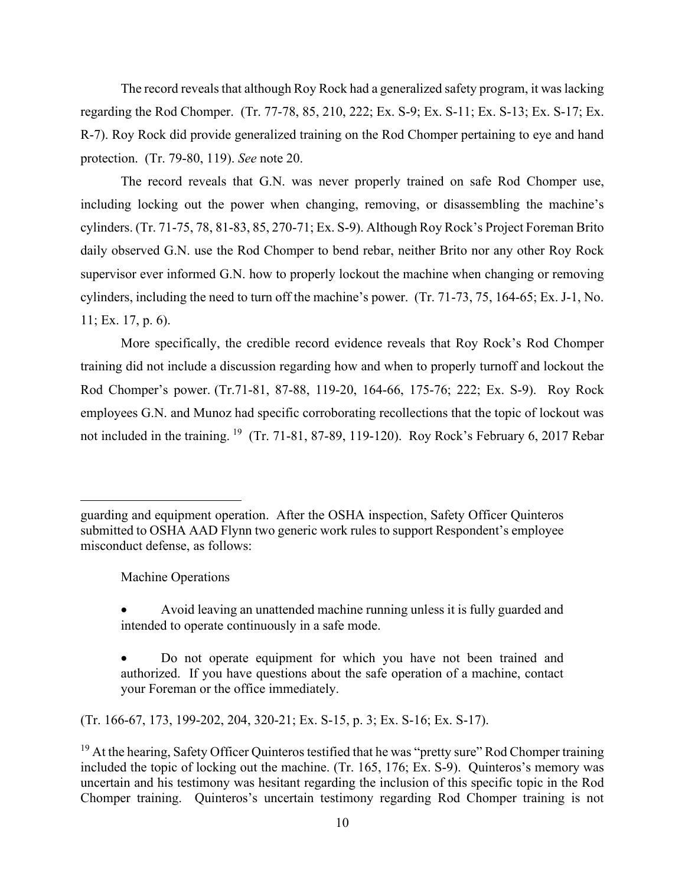The record reveals that although Roy Rock had a generalized safety program, it was lacking regarding the Rod Chomper. (Tr. 77-78, 85, 210, 222; Ex. S-9; Ex. S-11; Ex. S-13; Ex. S-17; Ex. R-7). Roy Rock did provide generalized training on the Rod Chomper pertaining to eye and hand protection. (Tr. 79-80, 119). *See* note 20.

The record reveals that G.N. was never properly trained on safe Rod Chomper use, including locking out the power when changing, removing, or disassembling the machine's cylinders. (Tr. 71-75, 78, 81-83, 85, 270-71; Ex. S-9). Although Roy Rock's Project Foreman Brito daily observed G.N. use the Rod Chomper to bend rebar, neither Brito nor any other Roy Rock supervisor ever informed G.N. how to properly lockout the machine when changing or removing cylinders, including the need to turn off the machine's power. (Tr. 71-73, 75, 164-65; Ex. J-1, No. 11; Ex. 17, p. 6).

More specifically, the credible record evidence reveals that Roy Rock's Rod Chomper training did not include a discussion regarding how and when to properly turnoff and lockout the Rod Chomper's power. (Tr.71-81, 87-88, 119-20, 164-66, 175-76; 222; Ex. S-9). Roy Rock employees G.N. and Munoz had specific corroborating recollections that the topic of lockout was not included in the training. <sup>[19](#page-17-0)</sup> (Tr. 71-81, 87-89, 119-120). Roy Rock's February 6, 2017 Rebar

Machine Operations

(Tr. 166-67, 173, 199-202, 204, 320-21; Ex. S-15, p. 3; Ex. S-16; Ex. S-17).

guarding and equipment operation. After the OSHA inspection, Safety Officer Quinteros submitted to OSHA AAD Flynn two generic work rules to support Respondent's employee misconduct defense, as follows:

<sup>•</sup> Avoid leaving an unattended machine running unless it is fully guarded and intended to operate continuously in a safe mode.

<sup>•</sup> Do not operate equipment for which you have not been trained and authorized. If you have questions about the safe operation of a machine, contact your Foreman or the office immediately.

<span id="page-17-0"></span> $19$  At the hearing, Safety Officer Quinteros testified that he was "pretty sure" Rod Chomper training included the topic of locking out the machine. (Tr. 165, 176; Ex. S-9). Quinteros's memory was uncertain and his testimony was hesitant regarding the inclusion of this specific topic in the Rod Chomper training. Quinteros's uncertain testimony regarding Rod Chomper training is not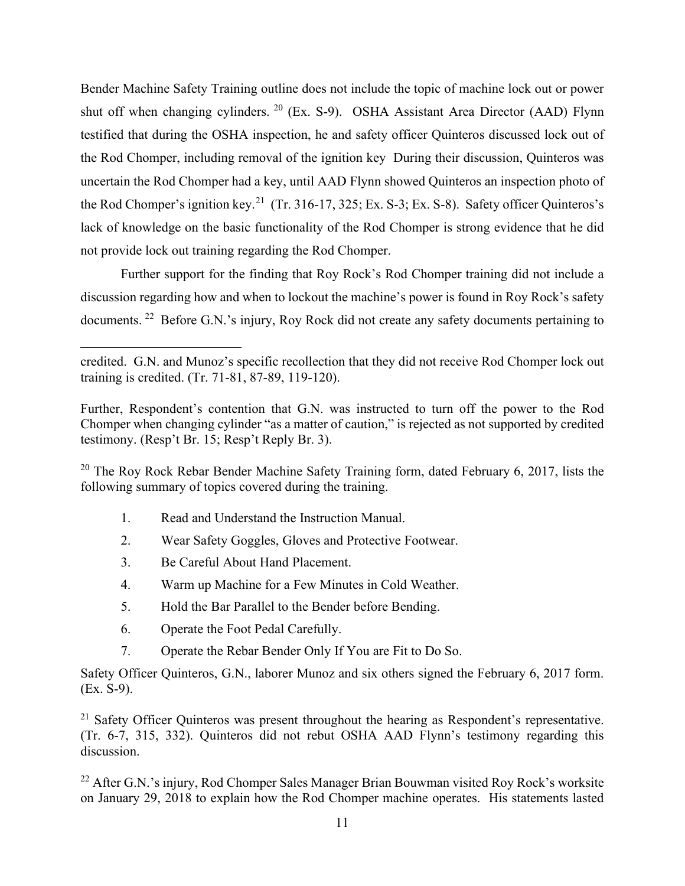Bender Machine Safety Training outline does not include the topic of machine lock out or power shut off when changing cylinders. [20](#page-18-0) (Ex. S-9). OSHA Assistant Area Director (AAD) Flynn testified that during the OSHA inspection, he and safety officer Quinteros discussed lock out of the Rod Chomper, including removal of the ignition key During their discussion, Quinteros was uncertain the Rod Chomper had a key, until AAD Flynn showed Quinteros an inspection photo of the Rod Chomper's ignition key.<sup>21</sup> (Tr. 316-17, 325; Ex. S-3; Ex. S-8). Safety officer Quinteros's lack of knowledge on the basic functionality of the Rod Chomper is strong evidence that he did not provide lock out training regarding the Rod Chomper.

Further support for the finding that Roy Rock's Rod Chomper training did not include a discussion regarding how and when to lockout the machine's power is found in Roy Rock's safety documents. [22](#page-18-2) Before G.N.'s injury, Roy Rock did not create any safety documents pertaining to

<span id="page-18-0"></span><sup>20</sup> The Rov Rock Rebar Bender Machine Safety Training form, dated February 6, 2017, lists the following summary of topics covered during the training.

- 1. Read and Understand the Instruction Manual.
- 2. Wear Safety Goggles, Gloves and Protective Footwear.
- 3. Be Careful About Hand Placement.
- 4. Warm up Machine for a Few Minutes in Cold Weather.
- 5. Hold the Bar Parallel to the Bender before Bending.
- 6. Operate the Foot Pedal Carefully.
- 7. Operate the Rebar Bender Only If You are Fit to Do So.

Safety Officer Quinteros, G.N., laborer Munoz and six others signed the February 6, 2017 form. (Ex. S-9).

<span id="page-18-1"></span> $21$  Safety Officer Quinteros was present throughout the hearing as Respondent's representative. (Tr. 6-7, 315, 332). Quinteros did not rebut OSHA AAD Flynn's testimony regarding this discussion.

<span id="page-18-2"></span> $^{22}$  After G.N.'s injury, Rod Chomper Sales Manager Brian Bouwman visited Roy Rock's worksite on January 29, 2018 to explain how the Rod Chomper machine operates. His statements lasted

credited. G.N. and Munoz's specific recollection that they did not receive Rod Chomper lock out training is credited. (Tr. 71-81, 87-89, 119-120).

Further, Respondent's contention that G.N. was instructed to turn off the power to the Rod Chomper when changing cylinder "as a matter of caution," is rejected as not supported by credited testimony. (Resp't Br. 15; Resp't Reply Br. 3).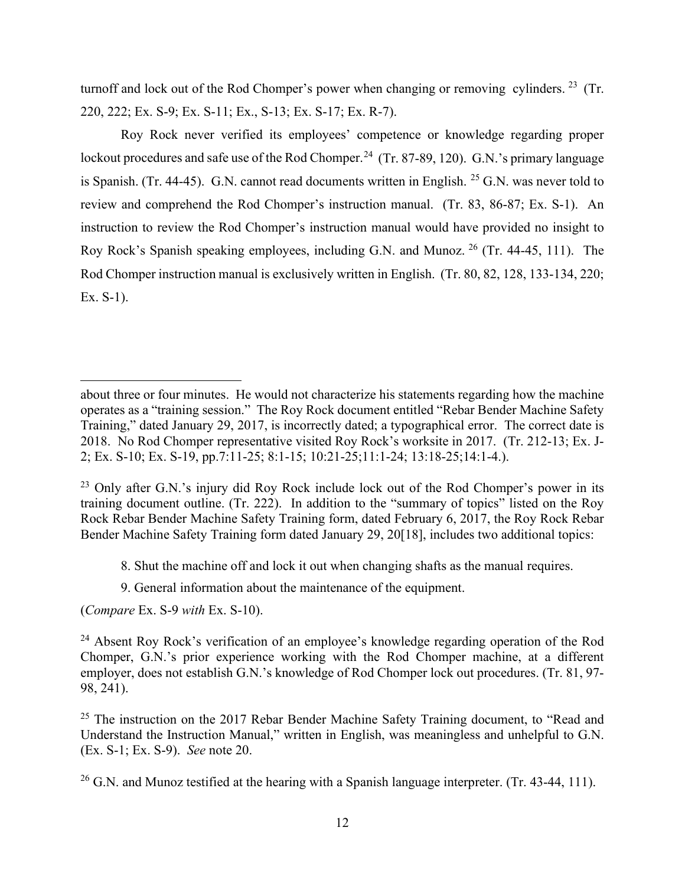turnoff and lock out of the Rod Chomper's power when changing or removing cylinders. <sup>[23](#page-19-0)</sup> (Tr. 220, 222; Ex. S-9; Ex. S-11; Ex., S-13; Ex. S-17; Ex. R-7).

Roy Rock never verified its employees' competence or knowledge regarding proper lockout procedures and safe use of the Rod Chomper.<sup>[24](#page-19-1)</sup> (Tr. 87-89, 120). G.N.'s primary language is Spanish. (Tr. 44-45). G.N. cannot read documents written in English. [25](#page-19-2) G.N. was never told to review and comprehend the Rod Chomper's instruction manual. (Tr. 83, 86-87; Ex. S-1). An instruction to review the Rod Chomper's instruction manual would have provided no insight to Roy Rock's Spanish speaking employees, including G.N. and Munoz. [26](#page-19-3) (Tr. 44-45, 111). The Rod Chomper instruction manual is exclusively written in English. (Tr. 80, 82, 128, 133-134, 220; Ex. S-1).

- 8. Shut the machine off and lock it out when changing shafts as the manual requires.
- 9. General information about the maintenance of the equipment.

(*Compare* Ex. S-9 *with* Ex. S-10).

about three or four minutes. He would not characterize his statements regarding how the machine operates as a "training session." The Roy Rock document entitled "Rebar Bender Machine Safety Training," dated January 29, 2017, is incorrectly dated; a typographical error. The correct date is 2018. No Rod Chomper representative visited Roy Rock's worksite in 2017. (Tr. 212-13; Ex. J-2; Ex. S-10; Ex. S-19, pp.7:11-25; 8:1-15; 10:21-25;11:1-24; 13:18-25;14:1-4.).

<span id="page-19-0"></span> $23$  Only after G.N.'s injury did Roy Rock include lock out of the Rod Chomper's power in its training document outline. (Tr. 222). In addition to the "summary of topics" listed on the Roy Rock Rebar Bender Machine Safety Training form, dated February 6, 2017, the Roy Rock Rebar Bender Machine Safety Training form dated January 29, 20[18], includes two additional topics:

<span id="page-19-1"></span><sup>&</sup>lt;sup>24</sup> Absent Roy Rock's verification of an employee's knowledge regarding operation of the Rod Chomper, G.N.'s prior experience working with the Rod Chomper machine, at a different employer, does not establish G.N.'s knowledge of Rod Chomper lock out procedures. (Tr. 81, 97- 98, 241).

<span id="page-19-2"></span> $25$  The instruction on the 2017 Rebar Bender Machine Safety Training document, to "Read and Understand the Instruction Manual," written in English, was meaningless and unhelpful to G.N. (Ex. S-1; Ex. S-9). *See* note 20.

<span id="page-19-3"></span> $^{26}$  G.N. and Munoz testified at the hearing with a Spanish language interpreter. (Tr. 43-44, 111).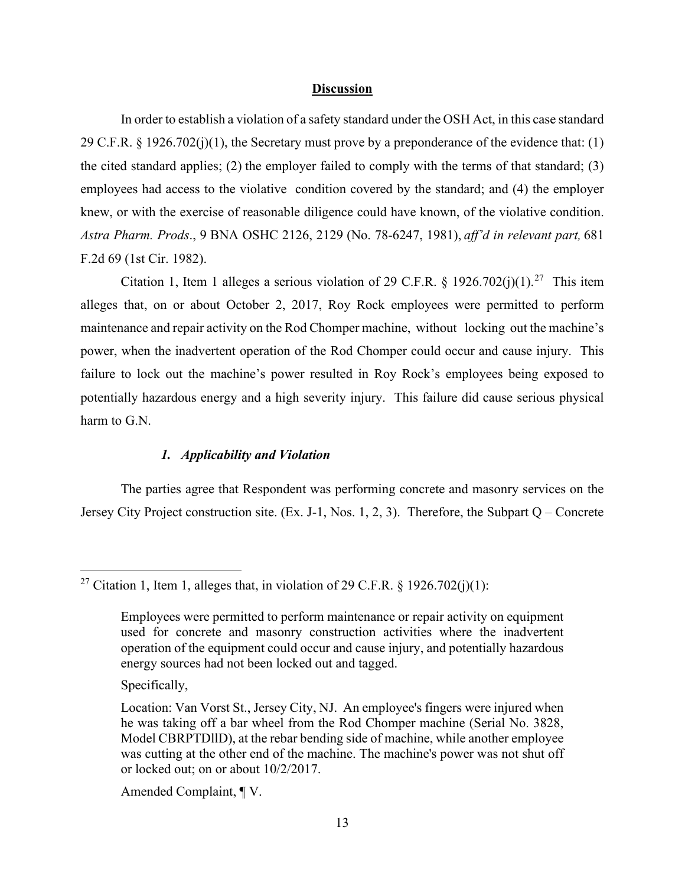#### **Discussion**

In order to establish a violation of a safety standard under the OSH Act, in this case standard 29 C.F.R.  $\S$  1926.702(j)(1), the Secretary must prove by a preponderance of the evidence that: (1) the cited standard applies; (2) the employer failed to comply with the terms of that standard; (3) employees had access to the violative condition covered by the standard; and (4) the employer knew, or with the exercise of reasonable diligence could have known, of the violative condition. *Astra Pharm. Prods*., 9 BNA OSHC 2126, 2129 (No. 78-6247, 1981), *aff'd in relevant part,* 681 F.2d 69 (1st Cir. 1982).

Citation 1, Item 1 alleges a serious violation of 29 C.F.R. § 1926.702(j)(1).<sup>[27](#page-20-0)</sup> This item alleges that, on or about October 2, 2017, Roy Rock employees were permitted to perform maintenance and repair activity on the Rod Chomper machine, without locking out the machine's power, when the inadvertent operation of the Rod Chomper could occur and cause injury. This failure to lock out the machine's power resulted in Roy Rock's employees being exposed to potentially hazardous energy and a high severity injury. This failure did cause serious physical harm to G.N.

# *1. Applicability and Violation*

The parties agree that Respondent was performing concrete and masonry services on the Jersey City Project construction site. (Ex. J-1, Nos. 1, 2, 3). Therefore, the Subpart Q – Concrete

Specifically,

Amended Complaint, ¶ V.

<span id="page-20-0"></span><sup>&</sup>lt;sup>27</sup> Citation 1, Item 1, alleges that, in violation of 29 C.F.R. § 1926.702(j)(1):

Employees were permitted to perform maintenance or repair activity on equipment used for concrete and masonry construction activities where the inadvertent operation of the equipment could occur and cause injury, and potentially hazardous energy sources had not been locked out and tagged.

Location: Van Vorst St., Jersey City, NJ. An employee's fingers were injured when he was taking off a bar wheel from the Rod Chomper machine (Serial No. 3828, Model CBRPTDllD), at the rebar bending side of machine, while another employee was cutting at the other end of the machine. The machine's power was not shut off or locked out; on or about 10/2/2017.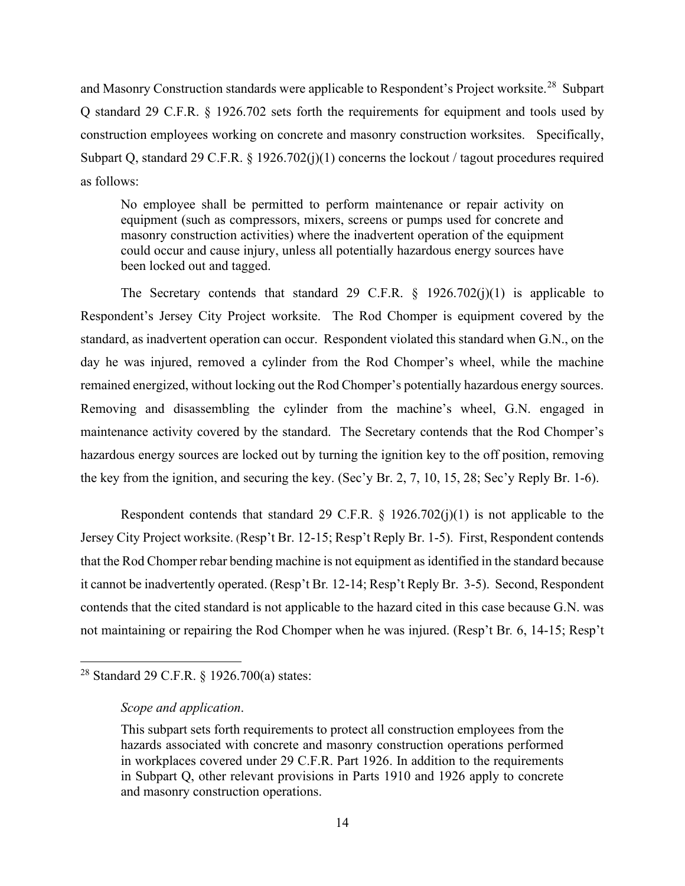and Masonry Construction standards were applicable to Respondent's Project worksite.<sup>28</sup> Subpart Q standard 29 C.F.R. § 1926.702 sets forth the requirements for equipment and tools used by construction employees working on concrete and masonry construction worksites. Specifically, Subpart Q, standard 29 C.F.R. § 1926.702(j)(1) concerns the lockout / tagout procedures required as follows:

No employee shall be permitted to perform maintenance or repair activity on equipment (such as compressors, mixers, screens or pumps used for concrete and masonry construction activities) where the inadvertent operation of the equipment could occur and cause injury, unless all potentially hazardous energy sources have been locked out and tagged.

The Secretary contends that standard 29 C.F.R.  $\S$  1926.702(j)(1) is applicable to Respondent's Jersey City Project worksite. The Rod Chomper is equipment covered by the standard, as inadvertent operation can occur. Respondent violated this standard when G.N., on the day he was injured, removed a cylinder from the Rod Chomper's wheel, while the machine remained energized, without locking out the Rod Chomper's potentially hazardous energy sources. Removing and disassembling the cylinder from the machine's wheel, G.N. engaged in maintenance activity covered by the standard. The Secretary contends that the Rod Chomper's hazardous energy sources are locked out by turning the ignition key to the off position, removing the key from the ignition, and securing the key. (Sec'y Br. 2, 7, 10, 15, 28; Sec'y Reply Br. 1-6).

Respondent contends that standard 29 C.F.R.  $\S$  1926.702(j)(1) is not applicable to the Jersey City Project worksite. (Resp't Br. 12-15; Resp't Reply Br. 1-5). First, Respondent contends that the Rod Chomper rebar bending machine is not equipment as identified in the standard because it cannot be inadvertently operated. (Resp't Br*.* 12-14; Resp't Reply Br. 3-5). Second, Respondent contends that the cited standard is not applicable to the hazard cited in this case because G.N. was not maintaining or repairing the Rod Chomper when he was injured. (Resp't Br*.* 6, 14-15; Resp't

<span id="page-21-0"></span><sup>28</sup> Standard 29 C.F.R. § 1926.700(a) states:

*Scope and application*.

This subpart sets forth requirements to protect all construction employees from the hazards associated with concrete and masonry construction operations performed in workplaces covered under 29 C.F.R. Part 1926. In addition to the requirements in Subpart Q, other relevant provisions in Parts 1910 and 1926 apply to concrete and masonry construction operations.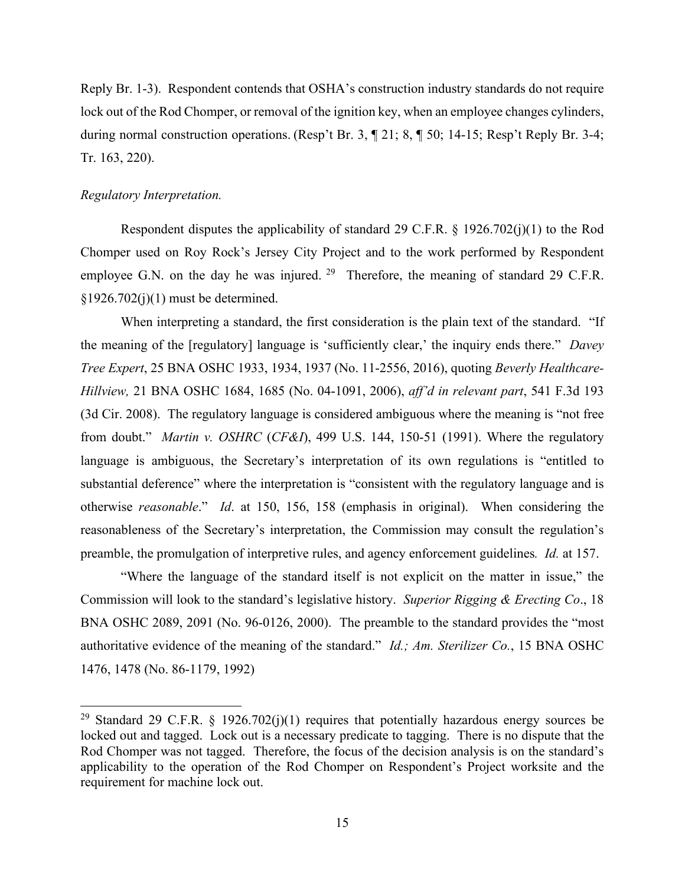Reply Br. 1-3). Respondent contends that OSHA's construction industry standards do not require lock out of the Rod Chomper, or removal of the ignition key, when an employee changes cylinders, during normal construction operations. (Resp't Br. 3, ¶ 21; 8, ¶ 50; 14-15; Resp't Reply Br. 3-4; Tr. 163, 220).

#### *Regulatory Interpretation.*

Respondent disputes the applicability of standard 29 C.F.R. § 1926.702(j)(1) to the Rod Chomper used on Roy Rock's Jersey City Project and to the work performed by Respondent employee G.N. on the day he was injured. <sup>29</sup> Therefore, the meaning of standard [29](#page-22-0) C.F.R.  $§1926.702(i)(1)$  must be determined.

When interpreting a standard, the first consideration is the plain text of the standard. "If the meaning of the [regulatory] language is 'sufficiently clear,' the inquiry ends there." *Davey Tree Expert*, 25 BNA OSHC 1933, 1934, 1937 (No. 11-2556, 2016), quoting *Beverly Healthcare-Hillview,* 21 BNA OSHC 1684, 1685 (No. 04-1091, 2006), *aff'd in relevant part*, 541 F.3d 193 (3d Cir. 2008). The regulatory language is considered ambiguous where the meaning is "not free from doubt." *Martin v. OSHRC* (*CF&I*), 499 U.S. 144, 150-51 (1991). Where the regulatory language is ambiguous, the Secretary's interpretation of its own regulations is "entitled to substantial deference" where the interpretation is "consistent with the regulatory language and is otherwise *reasonable*." *Id*. at 150, 156, 158 (emphasis in original). When considering the reasonableness of the Secretary's interpretation, the Commission may consult the regulation's preamble, the promulgation of interpretive rules, and agency enforcement guidelines*. Id.* at 157.

"Where the language of the standard itself is not explicit on the matter in issue," the Commission will look to the standard's legislative history. *Superior Rigging & Erecting Co*., 18 BNA OSHC 2089, 2091 (No. 96-0126, 2000). The preamble to the standard provides the "most authoritative evidence of the meaning of the standard." *Id.; Am. Sterilizer Co.*, 15 BNA OSHC 1476, 1478 (No. 86-1179, 1992)

<span id="page-22-0"></span><sup>&</sup>lt;sup>29</sup> Standard 29 C.F.R. § 1926.702(j)(1) requires that potentially hazardous energy sources be locked out and tagged. Lock out is a necessary predicate to tagging. There is no dispute that the Rod Chomper was not tagged. Therefore, the focus of the decision analysis is on the standard's applicability to the operation of the Rod Chomper on Respondent's Project worksite and the requirement for machine lock out.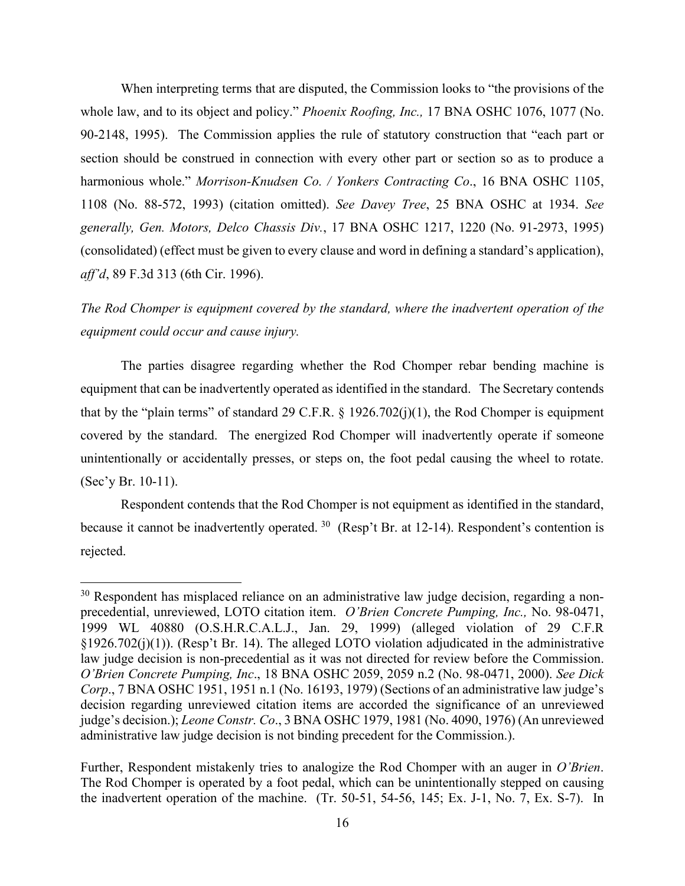When interpreting terms that are disputed, the Commission looks to "the provisions of the whole law, and to its object and policy." *Phoenix Roofing, Inc.,* 17 BNA OSHC 1076, 1077 (No. 90-2148, 1995). The Commission applies the rule of statutory construction that "each part or section should be construed in connection with every other part or section so as to produce a harmonious whole." *Morrison-Knudsen Co. / Yonkers Contracting Co*., 16 BNA OSHC 1105, 1108 (No. 88-572, 1993) (citation omitted). *See Davey Tree*, 25 BNA OSHC at 1934. *See generally, Gen. Motors, Delco Chassis Div.*, 17 BNA OSHC 1217, 1220 (No. 91-2973, 1995) (consolidated) (effect must be given to every clause and word in defining a standard's application), *aff'd*, 89 F.3d 313 (6th Cir. 1996).

*The Rod Chomper is equipment covered by the standard, where the inadvertent operation of the equipment could occur and cause injury.* 

The parties disagree regarding whether the Rod Chomper rebar bending machine is equipment that can be inadvertently operated as identified in the standard. The Secretary contends that by the "plain terms" of standard 29 C.F.R.  $\S$  1926.702(j)(1), the Rod Chomper is equipment covered by the standard. The energized Rod Chomper will inadvertently operate if someone unintentionally or accidentally presses, or steps on, the foot pedal causing the wheel to rotate. (Sec'y Br. 10-11).

Respondent contends that the Rod Chomper is not equipment as identified in the standard, because it cannot be inadvertently operated.  $30\,$  $30\,$  (Resp't Br. at 12-14). Respondent's contention is rejected.

<span id="page-23-0"></span><sup>&</sup>lt;sup>30</sup> Respondent has misplaced reliance on an administrative law judge decision, regarding a nonprecedential, unreviewed, LOTO citation item. *O'Brien Concrete Pumping, Inc.,* No. 98-0471, 1999 WL 40880 (O.S.H.R.C.A.L.J., Jan. 29, 1999) (alleged violation of 29 C.F.R §1926.702(j)(1)). (Resp't Br. 14). The alleged LOTO violation adjudicated in the administrative law judge decision is non-precedential as it was not directed for review before the Commission. *O'Brien Concrete Pumping, Inc*., 18 BNA OSHC 2059, 2059 n.2 (No. 98-0471, 2000). *See Dick Corp*., 7 BNA OSHC 1951, 1951 n.1 (No. 16193, 1979) (Sections of an administrative law judge's decision regarding unreviewed citation items are accorded the significance of an unreviewed judge's decision.); *Leone Constr. Co*., 3 BNA OSHC 1979, 1981 (No. 4090, 1976) (An unreviewed administrative law judge decision is not binding precedent for the Commission.).

Further, Respondent mistakenly tries to analogize the Rod Chomper with an auger in *O'Brien*. The Rod Chomper is operated by a foot pedal, which can be unintentionally stepped on causing the inadvertent operation of the machine. (Tr. 50-51, 54-56, 145; Ex. J-1, No. 7, Ex. S-7). In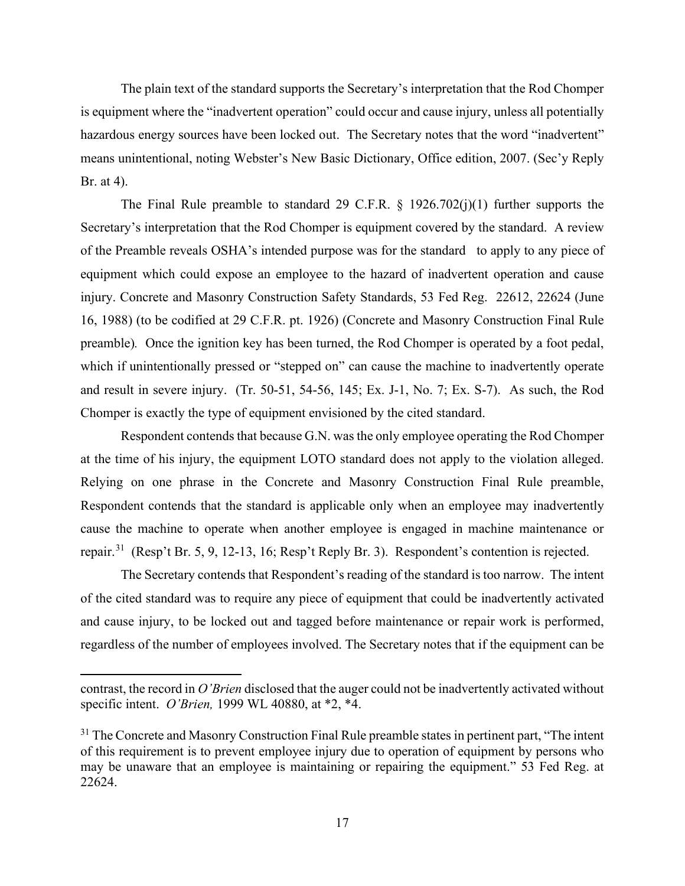The plain text of the standard supports the Secretary's interpretation that the Rod Chomper is equipment where the "inadvertent operation" could occur and cause injury, unless all potentially hazardous energy sources have been locked out. The Secretary notes that the word "inadvertent" means unintentional, noting Webster's New Basic Dictionary, Office edition, 2007. (Sec'y Reply Br. at 4).

The Final Rule preamble to standard 29 C.F.R.  $\S$  1926.702(j)(1) further supports the Secretary's interpretation that the Rod Chomper is equipment covered by the standard. A review of the Preamble reveals OSHA's intended purpose was for the standard to apply to any piece of equipment which could expose an employee to the hazard of inadvertent operation and cause injury. Concrete and Masonry Construction Safety Standards, 53 Fed Reg. 22612, 22624 (June 16, 1988) (to be codified at 29 C.F.R. pt. 1926) (Concrete and Masonry Construction Final Rule preamble)*.* Once the ignition key has been turned, the Rod Chomper is operated by a foot pedal, which if unintentionally pressed or "stepped on" can cause the machine to inadvertently operate and result in severe injury. (Tr. 50-51, 54-56, 145; Ex. J-1, No. 7; Ex. S-7). As such, the Rod Chomper is exactly the type of equipment envisioned by the cited standard.

Respondent contends that because G.N. was the only employee operating the Rod Chomper at the time of his injury, the equipment LOTO standard does not apply to the violation alleged. Relying on one phrase in the Concrete and Masonry Construction Final Rule preamble, Respondent contends that the standard is applicable only when an employee may inadvertently cause the machine to operate when another employee is engaged in machine maintenance or repair.[31](#page-24-0) (Resp't Br. 5, 9, 12-13, 16; Resp't Reply Br. 3). Respondent's contention is rejected.

The Secretary contends that Respondent's reading of the standard is too narrow. The intent of the cited standard was to require any piece of equipment that could be inadvertently activated and cause injury, to be locked out and tagged before maintenance or repair work is performed, regardless of the number of employees involved. The Secretary notes that if the equipment can be

contrast, the record in *O'Brien* disclosed that the auger could not be inadvertently activated without specific intent. *O'Brien,* 1999 WL 40880, at \*2, \*4.

<span id="page-24-0"></span><sup>&</sup>lt;sup>31</sup> The Concrete and Masonry Construction Final Rule preamble states in pertinent part, "The intent" of this requirement is to prevent employee injury due to operation of equipment by persons who may be unaware that an employee is maintaining or repairing the equipment." 53 Fed Reg. at 22624.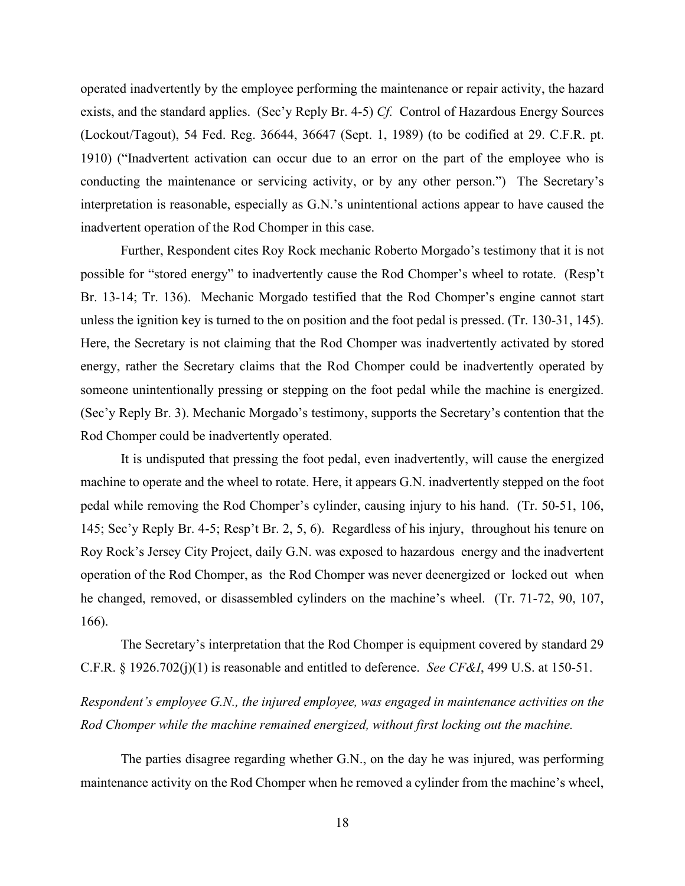operated inadvertently by the employee performing the maintenance or repair activity, the hazard exists, and the standard applies. (Sec'y Reply Br. 4-5) *Cf.* Control of Hazardous Energy Sources (Lockout/Tagout), 54 Fed. Reg. 36644, 36647 (Sept. 1, 1989) (to be codified at 29. C.F.R. pt. 1910) ("Inadvertent activation can occur due to an error on the part of the employee who is conducting the maintenance or servicing activity, or by any other person.") The Secretary's interpretation is reasonable, especially as G.N.'s unintentional actions appear to have caused the inadvertent operation of the Rod Chomper in this case.

Further, Respondent cites Roy Rock mechanic Roberto Morgado's testimony that it is not possible for "stored energy" to inadvertently cause the Rod Chomper's wheel to rotate. (Resp't Br. 13-14; Tr. 136). Mechanic Morgado testified that the Rod Chomper's engine cannot start unless the ignition key is turned to the on position and the foot pedal is pressed. (Tr. 130-31, 145). Here, the Secretary is not claiming that the Rod Chomper was inadvertently activated by stored energy, rather the Secretary claims that the Rod Chomper could be inadvertently operated by someone unintentionally pressing or stepping on the foot pedal while the machine is energized. (Sec'y Reply Br. 3). Mechanic Morgado's testimony, supports the Secretary's contention that the Rod Chomper could be inadvertently operated.

It is undisputed that pressing the foot pedal, even inadvertently, will cause the energized machine to operate and the wheel to rotate. Here, it appears G.N. inadvertently stepped on the foot pedal while removing the Rod Chomper's cylinder, causing injury to his hand. (Tr. 50-51, 106, 145; Sec'y Reply Br. 4-5; Resp't Br. 2, 5, 6). Regardless of his injury, throughout his tenure on Roy Rock's Jersey City Project, daily G.N. was exposed to hazardous energy and the inadvertent operation of the Rod Chomper, as the Rod Chomper was never deenergized or locked out when he changed, removed, or disassembled cylinders on the machine's wheel. (Tr. 71-72, 90, 107, 166).

The Secretary's interpretation that the Rod Chomper is equipment covered by standard 29 C.F.R. § 1926.702(j)(1) is reasonable and entitled to deference. *See CF&I*, 499 U.S. at 150-51.

*Respondent's employee G.N., the injured employee, was engaged in maintenance activities on the Rod Chomper while the machine remained energized, without first locking out the machine.* 

The parties disagree regarding whether G.N., on the day he was injured, was performing maintenance activity on the Rod Chomper when he removed a cylinder from the machine's wheel,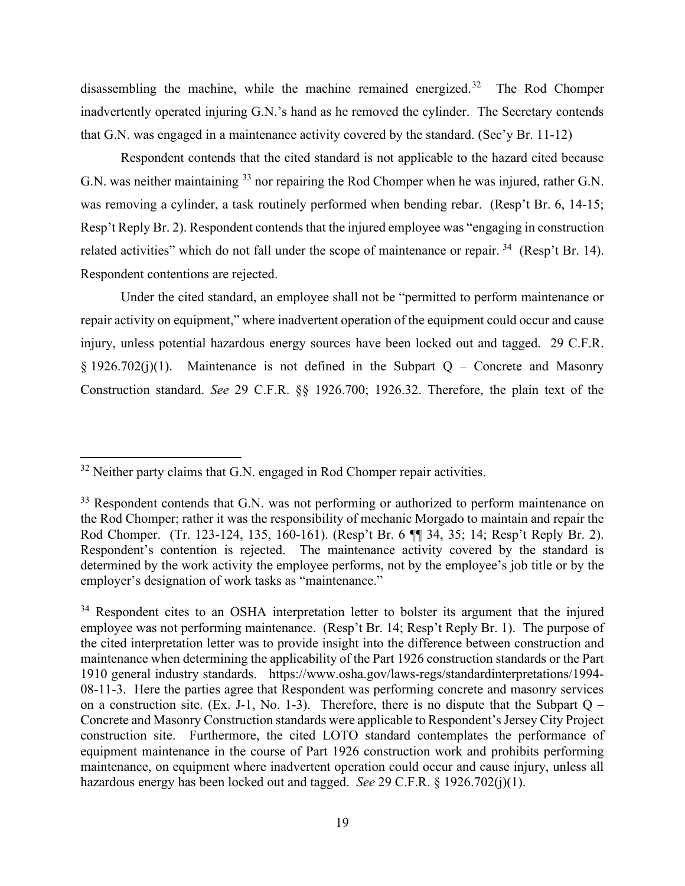disassembling the machine, while the machine remained energized.<sup>[32](#page-26-0)</sup> The Rod Chomper inadvertently operated injuring G.N.'s hand as he removed the cylinder. The Secretary contends that G.N. was engaged in a maintenance activity covered by the standard. (Sec'y Br. 11-12)

Respondent contends that the cited standard is not applicable to the hazard cited because G.N. was neither maintaining <sup>[33](#page-26-1)</sup> nor repairing the Rod Chomper when he was injured, rather G.N. was removing a cylinder, a task routinely performed when bending rebar. (Resp't Br. 6, 14-15; Resp't Reply Br. 2). Respondent contends that the injured employee was "engaging in construction related activities" which do not fall under the scope of maintenance or repair. <sup>34</sup> (Resp't Br. 14). Respondent contentions are rejected.

Under the cited standard, an employee shall not be "permitted to perform maintenance or repair activity on equipment," where inadvertent operation of the equipment could occur and cause injury, unless potential hazardous energy sources have been locked out and tagged. 29 C.F.R. § 1926.702(j)(1). Maintenance is not defined in the Subpart Q – Concrete and Masonry Construction standard. *See* 29 C.F.R. §§ 1926.700; 1926.32. Therefore, the plain text of the

<span id="page-26-0"></span> $32$  Neither party claims that G.N. engaged in Rod Chomper repair activities.

<span id="page-26-1"></span><sup>&</sup>lt;sup>33</sup> Respondent contends that G.N. was not performing or authorized to perform maintenance on the Rod Chomper; rather it was the responsibility of mechanic Morgado to maintain and repair the Rod Chomper. (Tr. 123-124, 135, 160-161). (Resp't Br. 6 ¶¶ 34, 35; 14; Resp't Reply Br. 2). Respondent's contention is rejected. The maintenance activity covered by the standard is determined by the work activity the employee performs, not by the employee's job title or by the employer's designation of work tasks as "maintenance."

<span id="page-26-2"></span><sup>&</sup>lt;sup>34</sup> Respondent cites to an OSHA interpretation letter to bolster its argument that the injured employee was not performing maintenance. (Resp't Br. 14; Resp't Reply Br. 1). The purpose of the cited interpretation letter was to provide insight into the difference between construction and maintenance when determining the applicability of the Part 1926 construction standards or the Part 1910 general industry standards. https://www.osha.gov/laws-regs/standardinterpretations/1994- 08-11-3. Here the parties agree that Respondent was performing concrete and masonry services on a construction site. (Ex. J-1, No. 1-3). Therefore, there is no dispute that the Subpart  $Q -$ Concrete and Masonry Construction standards were applicable to Respondent's Jersey City Project construction site. Furthermore, the cited LOTO standard contemplates the performance of equipment maintenance in the course of Part 1926 construction work and prohibits performing maintenance, on equipment where inadvertent operation could occur and cause injury, unless all hazardous energy has been locked out and tagged. *See* 29 C.F.R. § 1926.702(j)(1).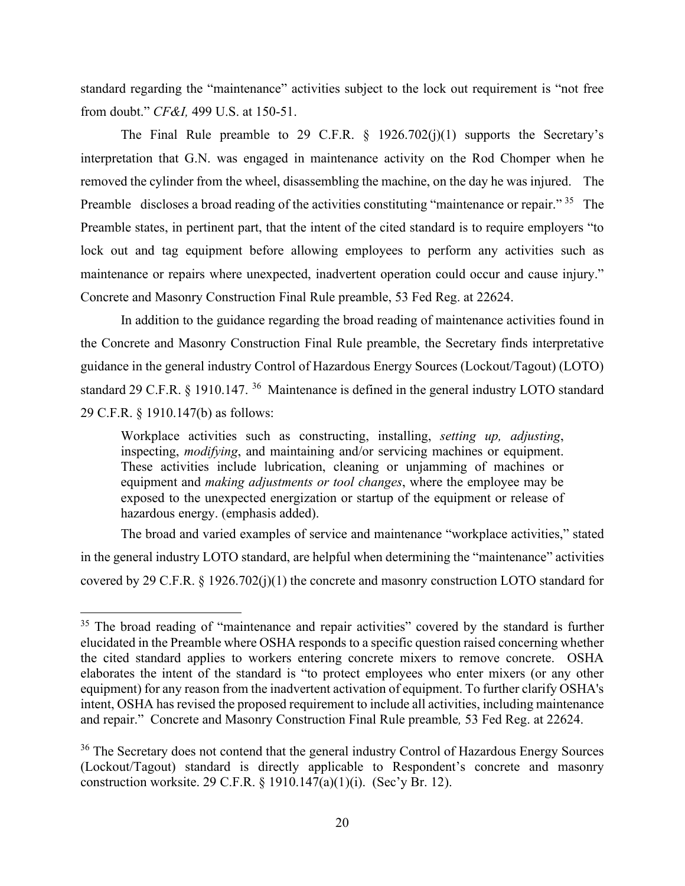standard regarding the "maintenance" activities subject to the lock out requirement is "not free from doubt." *CF&I,* 499 U.S. at 150-51.

The Final Rule preamble to 29 C.F.R.  $\S$  1926.702(j)(1) supports the Secretary's interpretation that G.N. was engaged in maintenance activity on the Rod Chomper when he removed the cylinder from the wheel, disassembling the machine, on the day he was injured. The Preamble discloses a broad reading of the activities constituting "maintenance or repair." <sup>[35](#page-27-0)</sup> The Preamble states, in pertinent part, that the intent of the cited standard is to require employers "to lock out and tag equipment before allowing employees to perform any activities such as maintenance or repairs where unexpected, inadvertent operation could occur and cause injury." Concrete and Masonry Construction Final Rule preamble, 53 Fed Reg. at 22624.

 In addition to the guidance regarding the broad reading of maintenance activities found in the Concrete and Masonry Construction Final Rule preamble, the Secretary finds interpretative guidance in the general industry Control of Hazardous Energy Sources (Lockout/Tagout) (LOTO) standard 29 C.F.R. § 1910.147.<sup>36</sup> Maintenance is defined in the general industry LOTO standard 29 C.F.R. § 1910.147(b) as follows:

Workplace activities such as constructing, installing, *setting up, adjusting*, inspecting, *modifying*, and maintaining and/or servicing machines or equipment. These activities include lubrication, cleaning or unjamming of machines or equipment and *making adjustments or tool changes*, where the employee may be exposed to the unexpected energization or startup of the equipment or release of hazardous energy. (emphasis added).

The broad and varied examples of service and maintenance "workplace activities," stated in the general industry LOTO standard, are helpful when determining the "maintenance" activities covered by 29 C.F.R. § 1926.702(j)(1) the concrete and masonry construction LOTO standard for

<span id="page-27-0"></span><sup>&</sup>lt;sup>35</sup> The broad reading of "maintenance and repair activities" covered by the standard is further elucidated in the Preamble where OSHA responds to a specific question raised concerning whether the cited standard applies to workers entering concrete mixers to remove concrete. OSHA elaborates the intent of the standard is "to protect employees who enter mixers (or any other equipment) for any reason from the inadvertent activation of equipment. To further clarify OSHA's intent, OSHA has revised the proposed requirement to include all activities, including maintenance and repair." Concrete and Masonry Construction Final Rule preamble*,* 53 Fed Reg. at 22624.

<span id="page-27-1"></span><sup>&</sup>lt;sup>36</sup> The Secretary does not contend that the general industry Control of Hazardous Energy Sources (Lockout/Tagout) standard is directly applicable to Respondent's concrete and masonry construction worksite. 29 C.F.R. § 1910.147(a)(1)(i). (Sec'y Br. 12).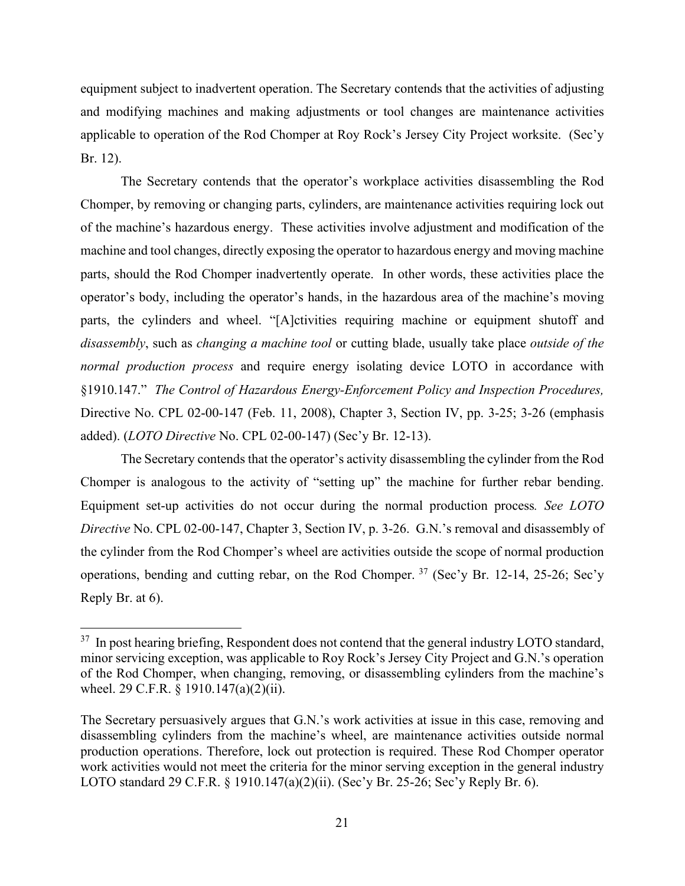equipment subject to inadvertent operation. The Secretary contends that the activities of adjusting and modifying machines and making adjustments or tool changes are maintenance activities applicable to operation of the Rod Chomper at Roy Rock's Jersey City Project worksite. (Sec'y Br. 12).

The Secretary contends that the operator's workplace activities disassembling the Rod Chomper, by removing or changing parts, cylinders, are maintenance activities requiring lock out of the machine's hazardous energy. These activities involve adjustment and modification of the machine and tool changes, directly exposing the operator to hazardous energy and moving machine parts, should the Rod Chomper inadvertently operate. In other words, these activities place the operator's body, including the operator's hands, in the hazardous area of the machine's moving parts, the cylinders and wheel. "[A]ctivities requiring machine or equipment shutoff and *disassembly*, such as *changing a machine tool* or cutting blade, usually take place *outside of the normal production process* and require energy isolating device LOTO in accordance with §1910.147." *The Control of Hazardous Energy-Enforcement Policy and Inspection Procedures,* Directive No. CPL 02-00-147 (Feb. 11, 2008), Chapter 3, Section IV, pp. 3-25; 3-26 (emphasis added). (*LOTO Directive* No. CPL 02-00-147) (Sec'y Br. 12-13).

The Secretary contends that the operator's activity disassembling the cylinder from the Rod Chomper is analogous to the activity of "setting up" the machine for further rebar bending. Equipment set-up activities do not occur during the normal production process*. See LOTO Directive* No. CPL 02-00-147, Chapter 3, Section IV, p. 3-26. G.N.'s removal and disassembly of the cylinder from the Rod Chomper's wheel are activities outside the scope of normal production operations, bending and cutting rebar, on the Rod Chomper.  $37$  (Sec'y Br. 12-14, 25-26; Sec'y Reply Br. at 6).

<span id="page-28-0"></span><sup>&</sup>lt;sup>37</sup> In post hearing briefing, Respondent does not contend that the general industry LOTO standard, minor servicing exception, was applicable to Roy Rock's Jersey City Project and G.N.'s operation of the Rod Chomper, when changing, removing, or disassembling cylinders from the machine's wheel. 29 C.F.R. § 1910.147(a)(2)(ii).

The Secretary persuasively argues that G.N.'s work activities at issue in this case, removing and disassembling cylinders from the machine's wheel, are maintenance activities outside normal production operations. Therefore, lock out protection is required. These Rod Chomper operator work activities would not meet the criteria for the minor serving exception in the general industry LOTO standard 29 C.F.R. § 1910.147(a)(2)(ii). (Sec'y Br. 25-26; Sec'y Reply Br. 6).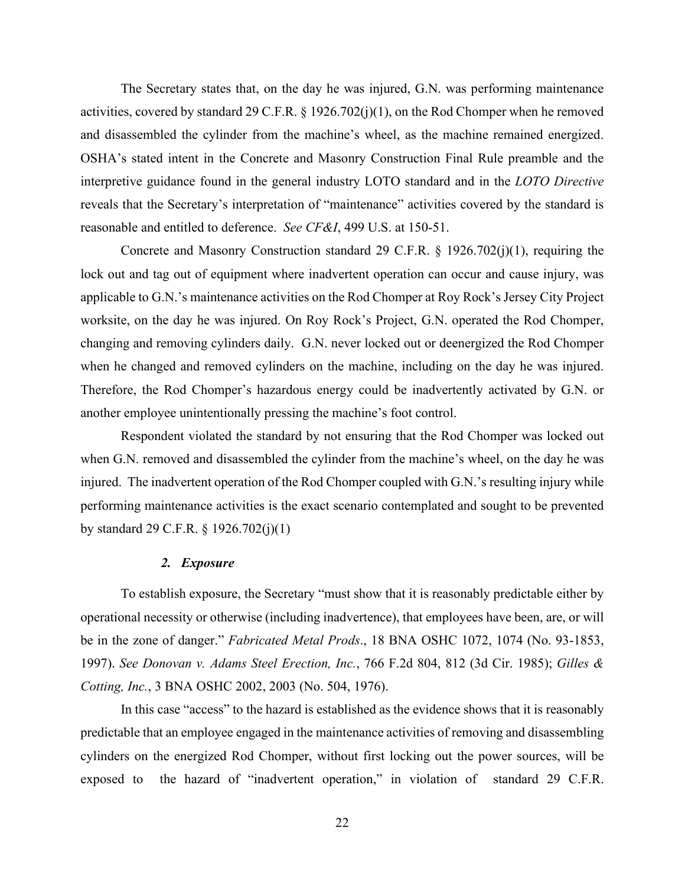The Secretary states that, on the day he was injured, G.N. was performing maintenance activities, covered by standard 29 C.F.R. § 1926.702(j)(1), on the Rod Chomper when he removed and disassembled the cylinder from the machine's wheel, as the machine remained energized. OSHA's stated intent in the Concrete and Masonry Construction Final Rule preamble and the interpretive guidance found in the general industry LOTO standard and in the *LOTO Directive* reveals that the Secretary's interpretation of "maintenance" activities covered by the standard is reasonable and entitled to deference. *See CF&I*, 499 U.S. at 150-51.

Concrete and Masonry Construction standard 29 C.F.R. § 1926.702(j)(1), requiring the lock out and tag out of equipment where inadvertent operation can occur and cause injury, was applicable to G.N.'s maintenance activities on the Rod Chomper at Roy Rock's Jersey City Project worksite, on the day he was injured. On Roy Rock's Project, G.N. operated the Rod Chomper, changing and removing cylinders daily. G.N. never locked out or deenergized the Rod Chomper when he changed and removed cylinders on the machine, including on the day he was injured. Therefore, the Rod Chomper's hazardous energy could be inadvertently activated by G.N. or another employee unintentionally pressing the machine's foot control.

Respondent violated the standard by not ensuring that the Rod Chomper was locked out when G.N. removed and disassembled the cylinder from the machine's wheel, on the day he was injured. The inadvertent operation of the Rod Chomper coupled with G.N.'s resulting injury while performing maintenance activities is the exact scenario contemplated and sought to be prevented by standard 29 C.F.R. § 1926.702(j)(1)

#### *2. Exposure*

To establish exposure, the Secretary "must show that it is reasonably predictable either by operational necessity or otherwise (including inadvertence), that employees have been, are, or will be in the zone of danger." *Fabricated Metal Prods*., 18 BNA OSHC 1072, 1074 (No. 93-1853, 1997). *See Donovan v. Adams Steel Erection, Inc.*, 766 F.2d 804, 812 (3d Cir. 1985); *Gilles & Cotting, Inc.*, 3 BNA OSHC 2002, 2003 (No. 504, 1976).

In this case "access" to the hazard is established as the evidence shows that it is reasonably predictable that an employee engaged in the maintenance activities of removing and disassembling cylinders on the energized Rod Chomper, without first locking out the power sources, will be exposed to the hazard of "inadvertent operation," in violation of standard 29 C.F.R.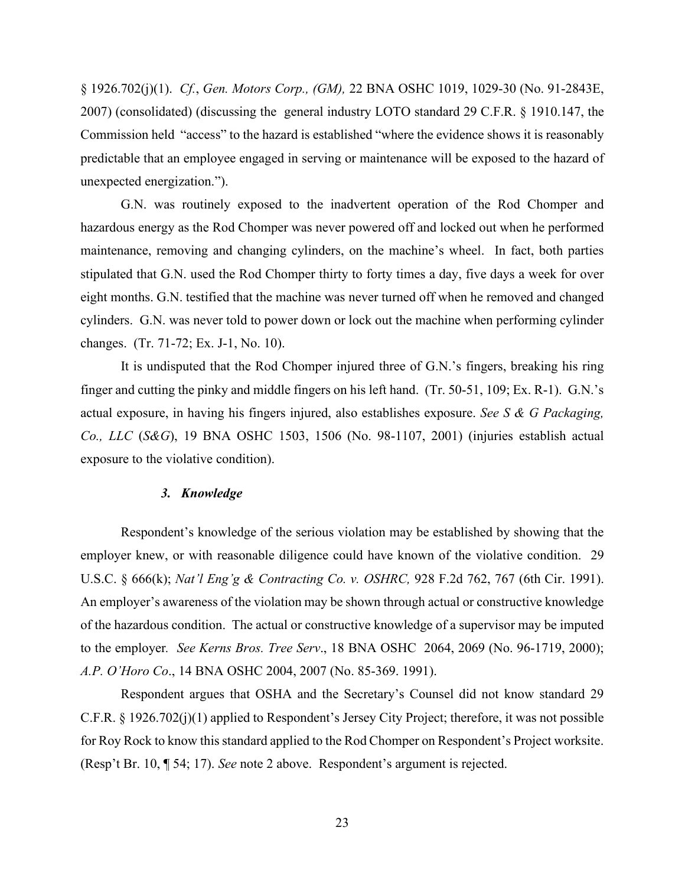§ 1926.702(j)(1). *Cf.*, *Gen. Motors Corp., (GM),* 22 BNA OSHC 1019, 1029-30 (No. 91-2843E, 2007) (consolidated) (discussing the general industry LOTO standard 29 C.F.R. § 1910.147, the Commission held "access" to the hazard is established "where the evidence shows it is reasonably predictable that an employee engaged in serving or maintenance will be exposed to the hazard of unexpected energization.").

G.N. was routinely exposed to the inadvertent operation of the Rod Chomper and hazardous energy as the Rod Chomper was never powered off and locked out when he performed maintenance, removing and changing cylinders, on the machine's wheel. In fact, both parties stipulated that G.N. used the Rod Chomper thirty to forty times a day, five days a week for over eight months. G.N. testified that the machine was never turned off when he removed and changed cylinders. G.N. was never told to power down or lock out the machine when performing cylinder changes. (Tr. 71-72; Ex. J-1, No. 10).

It is undisputed that the Rod Chomper injured three of G.N.'s fingers, breaking his ring finger and cutting the pinky and middle fingers on his left hand. (Tr. 50-51, 109; Ex. R-1). G.N.'s actual exposure, in having his fingers injured, also establishes exposure. *See S & G Packaging, Co., LLC* (*S&G*), 19 BNA OSHC 1503, 1506 (No. 98-1107, 2001) (injuries establish actual exposure to the violative condition).

### *3. Knowledge*

Respondent's knowledge of the serious violation may be established by showing that the employer knew, or with reasonable diligence could have known of the violative condition. 29 U.S.C. § 666(k); *Nat'l Eng'g & Contracting Co. v. OSHRC,* 928 F.2d 762, 767 (6th Cir. 1991). An employer's awareness of the violation may be shown through actual or constructive knowledge of the hazardous condition. The actual or constructive knowledge of a supervisor may be imputed to the employer*. See Kerns Bros. Tree Serv*., 18 BNA OSHC 2064, 2069 (No. 96-1719, 2000); *A.P. O'Horo Co*., 14 BNA OSHC 2004, 2007 (No. 85-369. 1991).

Respondent argues that OSHA and the Secretary's Counsel did not know standard 29 C.F.R. § 1926.702(j)(1) applied to Respondent's Jersey City Project; therefore, it was not possible for Roy Rock to know this standard applied to the Rod Chomper on Respondent's Project worksite. (Resp't Br. 10, ¶ 54; 17). *See* note 2 above. Respondent's argument is rejected.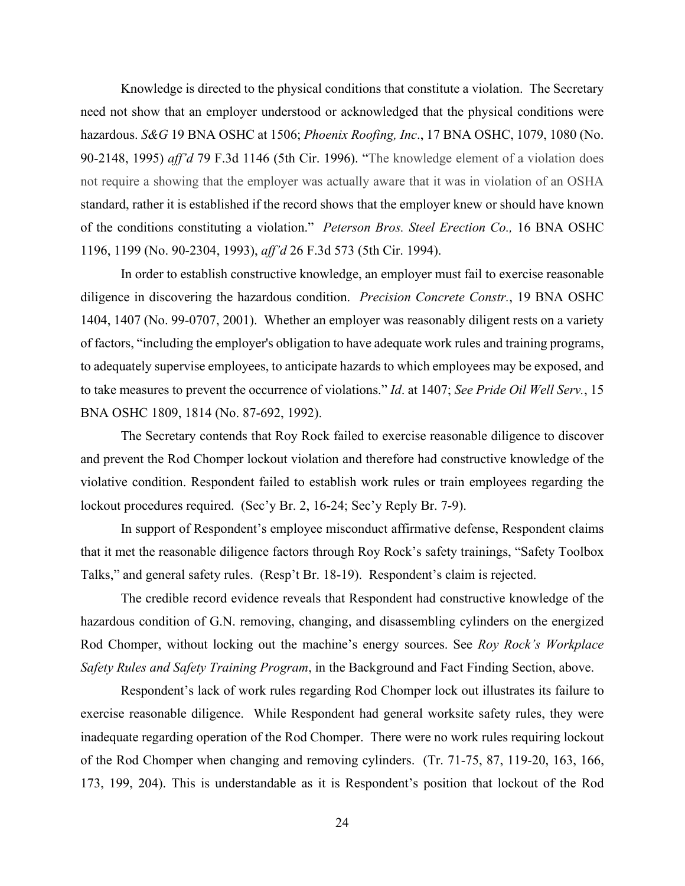Knowledge is directed to the physical conditions that constitute a violation. The Secretary need not show that an employer understood or acknowledged that the physical conditions were hazardous. *S&G* 19 BNA OSHC at 1506; *Phoenix Roofing, Inc*., 17 BNA OSHC, 1079, 1080 (No. 90-2148, 1995) *aff'd* 79 F.3d 1146 (5th Cir. 1996). "The knowledge element of a violation does not require a showing that the employer was actually aware that it was in violation of an OSHA standard, rather it is established if the record shows that the employer knew or should have known of the conditions constituting a violation." *Peterson Bros. Steel Erection Co.,* 16 BNA OSHC 1196, 1199 (No. 90-2304, 1993), *aff'd* 26 F.3d 573 (5th Cir. 1994).

In order to establish constructive knowledge, an employer must fail to exercise reasonable diligence in discovering the hazardous condition. *Precision Concrete Constr.*, 19 BNA OSHC 1404, 1407 (No. 99-0707, 2001). Whether an employer was reasonably diligent rests on a variety of factors, "including the employer's obligation to have adequate work rules and training programs, to adequately supervise employees, to anticipate hazards to which employees may be exposed, and to take measures to prevent the occurrence of violations." *Id*. at 1407; *See Pride Oil Well Serv.*, 15 BNA OSHC 1809, 1814 (No. 87-692, 1992).

The Secretary contends that Roy Rock failed to exercise reasonable diligence to discover and prevent the Rod Chomper lockout violation and therefore had constructive knowledge of the violative condition. Respondent failed to establish work rules or train employees regarding the lockout procedures required. (Sec'y Br. 2, 16-24; Sec'y Reply Br. 7-9).

In support of Respondent's employee misconduct affirmative defense, Respondent claims that it met the reasonable diligence factors through Roy Rock's safety trainings, "Safety Toolbox Talks," and general safety rules. (Resp't Br. 18-19). Respondent's claim is rejected.

The credible record evidence reveals that Respondent had constructive knowledge of the hazardous condition of G.N. removing, changing, and disassembling cylinders on the energized Rod Chomper, without locking out the machine's energy sources. See *Roy Rock's Workplace Safety Rules and Safety Training Program*, in the Background and Fact Finding Section, above.

Respondent's lack of work rules regarding Rod Chomper lock out illustrates its failure to exercise reasonable diligence. While Respondent had general worksite safety rules, they were inadequate regarding operation of the Rod Chomper. There were no work rules requiring lockout of the Rod Chomper when changing and removing cylinders. (Tr. 71-75, 87, 119-20, 163, 166, 173, 199, 204). This is understandable as it is Respondent's position that lockout of the Rod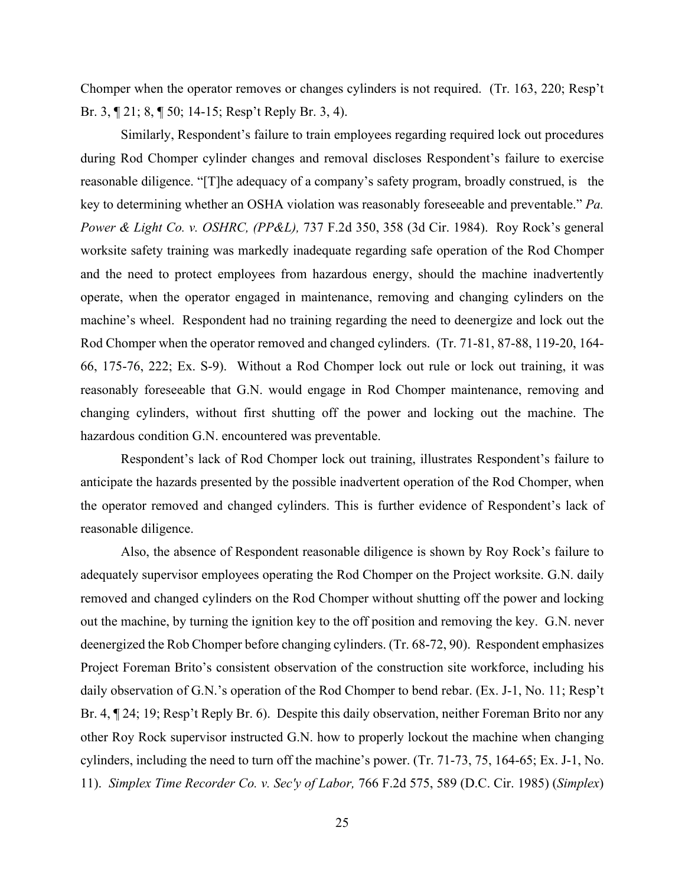Chomper when the operator removes or changes cylinders is not required. (Tr. 163, 220; Resp't Br. 3, ¶ 21; 8, ¶ 50; 14-15; Resp't Reply Br. 3, 4).

Similarly, Respondent's failure to train employees regarding required lock out procedures during Rod Chomper cylinder changes and removal discloses Respondent's failure to exercise reasonable diligence. "[T]he adequacy of a company's safety program, broadly construed, is the key to determining whether an OSHA violation was reasonably foreseeable and preventable." *Pa. Power & Light Co. v. OSHRC, (PP&L),* 737 F.2d 350, 358 (3d Cir. 1984). Roy Rock's general worksite safety training was markedly inadequate regarding safe operation of the Rod Chomper and the need to protect employees from hazardous energy, should the machine inadvertently operate, when the operator engaged in maintenance, removing and changing cylinders on the machine's wheel. Respondent had no training regarding the need to deenergize and lock out the Rod Chomper when the operator removed and changed cylinders. (Tr. 71-81, 87-88, 119-20, 164- 66, 175-76, 222; Ex. S-9). Without a Rod Chomper lock out rule or lock out training, it was reasonably foreseeable that G.N. would engage in Rod Chomper maintenance, removing and changing cylinders, without first shutting off the power and locking out the machine. The hazardous condition G.N. encountered was preventable.

Respondent's lack of Rod Chomper lock out training, illustrates Respondent's failure to anticipate the hazards presented by the possible inadvertent operation of the Rod Chomper, when the operator removed and changed cylinders. This is further evidence of Respondent's lack of reasonable diligence.

Also, the absence of Respondent reasonable diligence is shown by Roy Rock's failure to adequately supervisor employees operating the Rod Chomper on the Project worksite. G.N. daily removed and changed cylinders on the Rod Chomper without shutting off the power and locking out the machine, by turning the ignition key to the off position and removing the key. G.N. never deenergized the Rob Chomper before changing cylinders. (Tr. 68-72, 90). Respondent emphasizes Project Foreman Brito's consistent observation of the construction site workforce, including his daily observation of G.N.'s operation of the Rod Chomper to bend rebar. (Ex. J-1, No. 11; Resp't Br. 4, ¶ 24; 19; Resp't Reply Br. 6). Despite this daily observation, neither Foreman Brito nor any other Roy Rock supervisor instructed G.N. how to properly lockout the machine when changing cylinders, including the need to turn off the machine's power. (Tr. 71-73, 75, 164-65; Ex. J-1, No. 11). *Simplex Time Recorder Co. v. Sec'y of Labor,* 766 F.2d 575, 589 (D.C. Cir. 1985) (*Simplex*)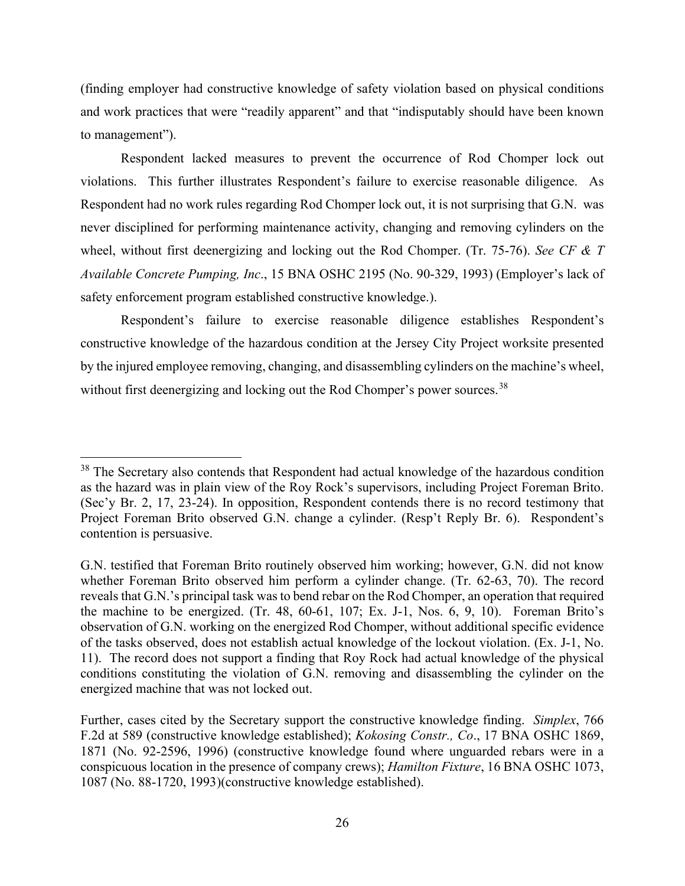(finding employer had constructive knowledge of safety violation based on physical conditions and work practices that were "readily apparent" and that "indisputably should have been known to management").

Respondent lacked measures to prevent the occurrence of Rod Chomper lock out violations. This further illustrates Respondent's failure to exercise reasonable diligence. As Respondent had no work rules regarding Rod Chomper lock out, it is not surprising that G.N. was never disciplined for performing maintenance activity, changing and removing cylinders on the wheel, without first deenergizing and locking out the Rod Chomper. (Tr. 75-76). *See CF & T Available Concrete Pumping, Inc*., 15 BNA OSHC 2195 (No. 90-329, 1993) (Employer's lack of safety enforcement program established constructive knowledge.).

Respondent's failure to exercise reasonable diligence establishes Respondent's constructive knowledge of the hazardous condition at the Jersey City Project worksite presented by the injured employee removing, changing, and disassembling cylinders on the machine's wheel, without first deenergizing and locking out the Rod Chomper's power sources.<sup>[38](#page-33-0)</sup>

<span id="page-33-0"></span><sup>&</sup>lt;sup>38</sup> The Secretary also contends that Respondent had actual knowledge of the hazardous condition as the hazard was in plain view of the Roy Rock's supervisors, including Project Foreman Brito. (Sec'y Br. 2, 17, 23-24). In opposition, Respondent contends there is no record testimony that Project Foreman Brito observed G.N. change a cylinder. (Resp't Reply Br. 6). Respondent's contention is persuasive.

G.N. testified that Foreman Brito routinely observed him working; however, G.N. did not know whether Foreman Brito observed him perform a cylinder change. (Tr. 62-63, 70). The record reveals that G.N.'s principal task was to bend rebar on the Rod Chomper, an operation that required the machine to be energized. (Tr. 48, 60-61, 107; Ex. J-1, Nos. 6, 9, 10). Foreman Brito's observation of G.N. working on the energized Rod Chomper, without additional specific evidence of the tasks observed, does not establish actual knowledge of the lockout violation. (Ex. J-1, No. 11). The record does not support a finding that Roy Rock had actual knowledge of the physical conditions constituting the violation of G.N. removing and disassembling the cylinder on the energized machine that was not locked out.

Further, cases cited by the Secretary support the constructive knowledge finding. *Simplex*, 766 F.2d at 589 (constructive knowledge established); *Kokosing Constr., Co*., 17 BNA OSHC 1869, 1871 (No. 92-2596, 1996) (constructive knowledge found where unguarded rebars were in a conspicuous location in the presence of company crews); *Hamilton Fixture*, 16 BNA OSHC 1073, 1087 (No. 88-1720, 1993)(constructive knowledge established).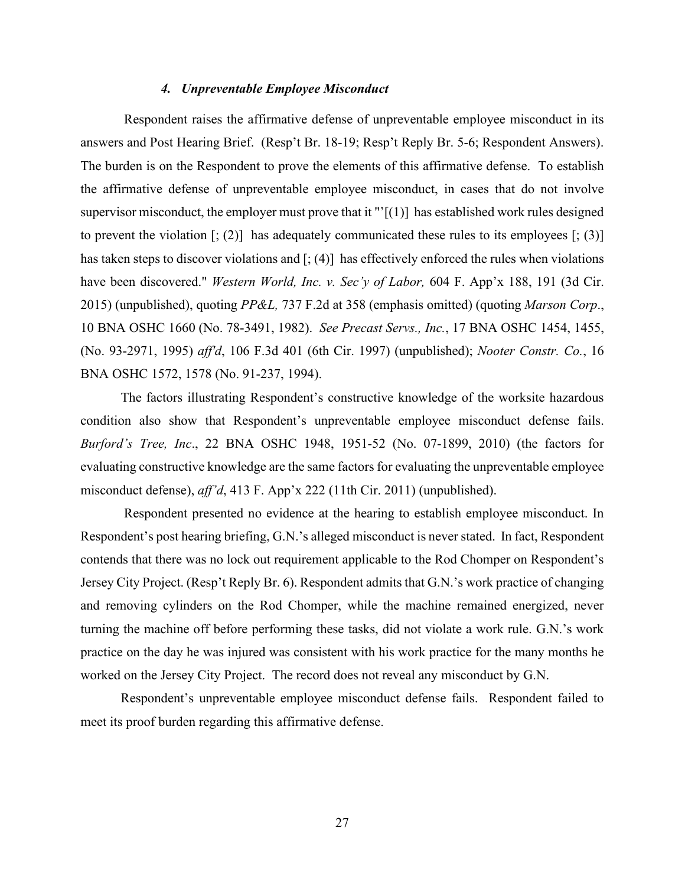### *4. Unpreventable Employee Misconduct*

Respondent raises the affirmative defense of unpreventable employee misconduct in its answers and Post Hearing Brief. (Resp't Br. 18-19; Resp't Reply Br. 5-6; Respondent Answers). The burden is on the Respondent to prove the elements of this affirmative defense. To establish the affirmative defense of unpreventable employee misconduct, in cases that do not involve supervisor misconduct, the employer must prove that it " $\lceil (1) \rceil$  has established work rules designed to prevent the violation  $[\,; (2)]$  has adequately communicated these rules to its employees  $[\,; (3)]$ has taken steps to discover violations and  $\left[\frac{1}{2}\right]$  has effectively enforced the rules when violations have been discovered." *Western World, Inc. v. Sec'y of Labor,* 604 F. App'x 188, 191 (3d Cir. 2015) (unpublished), quoting *PP&L,* 737 F.2d at 358 (emphasis omitted) (quoting *Marson Corp*., 10 BNA OSHC 1660 (No. 78-3491, 1982). *See Precast Servs., Inc.*, 17 BNA OSHC 1454, 1455, (No. 93-2971, 1995) *aff'd*, 106 F.3d 401 (6th Cir. 1997) (unpublished); *Nooter Constr. Co.*, 16 BNA OSHC 1572, 1578 (No. 91-237, 1994).

The factors illustrating Respondent's constructive knowledge of the worksite hazardous condition also show that Respondent's unpreventable employee misconduct defense fails. *Burford's Tree, Inc*., 22 BNA OSHC 1948, 1951-52 (No. 07-1899, 2010) (the factors for evaluating constructive knowledge are the same factors for evaluating the unpreventable employee misconduct defense), *aff'd*, 413 F. App'x 222 (11th Cir. 2011) (unpublished).

Respondent presented no evidence at the hearing to establish employee misconduct. In Respondent's post hearing briefing, G.N.'s alleged misconduct is never stated. In fact, Respondent contends that there was no lock out requirement applicable to the Rod Chomper on Respondent's Jersey City Project. (Resp't Reply Br. 6). Respondent admits that G.N.'s work practice of changing and removing cylinders on the Rod Chomper, while the machine remained energized, never turning the machine off before performing these tasks, did not violate a work rule. G.N.'s work practice on the day he was injured was consistent with his work practice for the many months he worked on the Jersey City Project. The record does not reveal any misconduct by G.N.

Respondent's unpreventable employee misconduct defense fails. Respondent failed to meet its proof burden regarding this affirmative defense.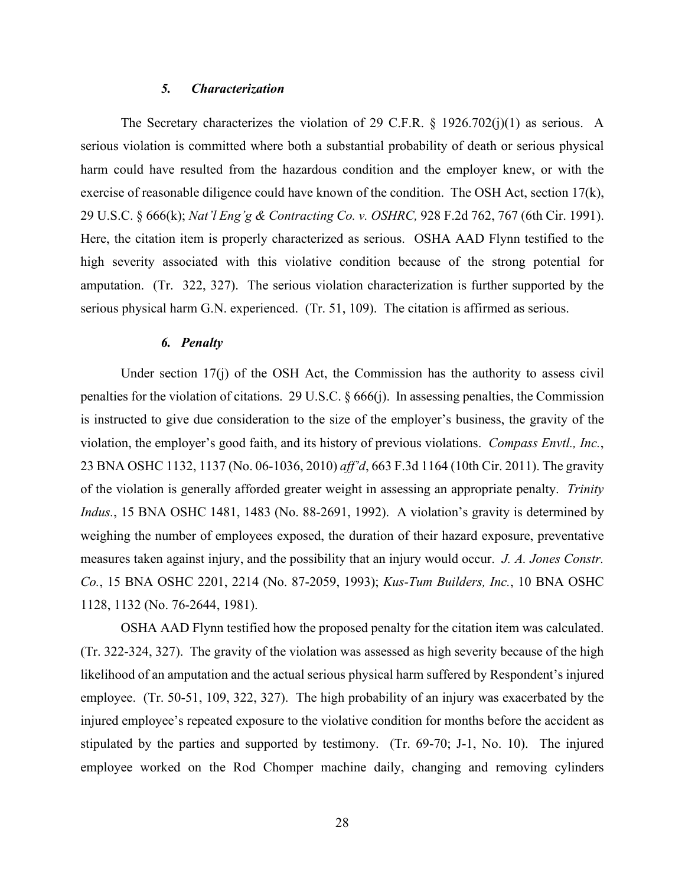### *5. Characterization*

The Secretary characterizes the violation of 29 C.F.R. § 1926.702(j)(1) as serious. A serious violation is committed where both a substantial probability of death or serious physical harm could have resulted from the hazardous condition and the employer knew, or with the exercise of reasonable diligence could have known of the condition. The OSH Act, section  $17(k)$ , 29 U.S.C. § 666(k); *Nat'l Eng'g & Contracting Co. v. OSHRC,* 928 F.2d 762, 767 (6th Cir. 1991). Here, the citation item is properly characterized as serious. OSHA AAD Flynn testified to the high severity associated with this violative condition because of the strong potential for amputation. (Tr. 322, 327). The serious violation characterization is further supported by the serious physical harm G.N. experienced. (Tr. 51, 109). The citation is affirmed as serious.

# *6. Penalty*

Under section 17(j) of the OSH Act, the Commission has the authority to assess civil penalties for the violation of citations. 29 U.S.C. § 666(j). In assessing penalties, the Commission is instructed to give due consideration to the size of the employer's business, the gravity of the violation, the employer's good faith, and its history of previous violations. *Compass Envtl., Inc.*, 23 BNA OSHC 1132, 1137 (No. 06-1036, 2010) *aff'd*, 663 F.3d 1164 (10th Cir. 2011). The gravity of the violation is generally afforded greater weight in assessing an appropriate penalty. *Trinity Indus.*, 15 BNA OSHC 1481, 1483 (No. 88-2691, 1992). A violation's gravity is determined by weighing the number of employees exposed, the duration of their hazard exposure, preventative measures taken against injury, and the possibility that an injury would occur. *J. A. Jones Constr. Co.*, 15 BNA OSHC 2201, 2214 (No. 87-2059, 1993); *Kus-Tum Builders, Inc.*, 10 BNA OSHC 1128, 1132 (No. 76-2644, 1981).

OSHA AAD Flynn testified how the proposed penalty for the citation item was calculated. (Tr. 322-324, 327). The gravity of the violation was assessed as high severity because of the high likelihood of an amputation and the actual serious physical harm suffered by Respondent's injured employee. (Tr. 50-51, 109, 322, 327). The high probability of an injury was exacerbated by the injured employee's repeated exposure to the violative condition for months before the accident as stipulated by the parties and supported by testimony. (Tr. 69-70; J-1, No. 10). The injured employee worked on the Rod Chomper machine daily, changing and removing cylinders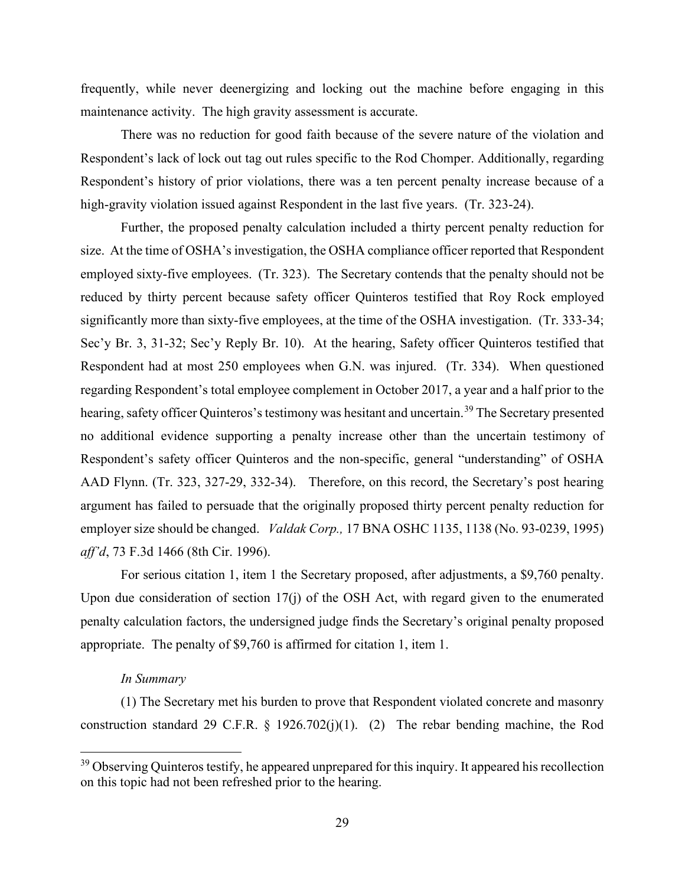frequently, while never deenergizing and locking out the machine before engaging in this maintenance activity. The high gravity assessment is accurate.

There was no reduction for good faith because of the severe nature of the violation and Respondent's lack of lock out tag out rules specific to the Rod Chomper. Additionally, regarding Respondent's history of prior violations, there was a ten percent penalty increase because of a high-gravity violation issued against Respondent in the last five years. (Tr. 323-24).

Further, the proposed penalty calculation included a thirty percent penalty reduction for size. At the time of OSHA's investigation, the OSHA compliance officer reported that Respondent employed sixty-five employees. (Tr. 323). The Secretary contends that the penalty should not be reduced by thirty percent because safety officer Quinteros testified that Roy Rock employed significantly more than sixty-five employees, at the time of the OSHA investigation. (Tr. 333-34; Sec'y Br. 3, 31-32; Sec'y Reply Br. 10). At the hearing, Safety officer Quinteros testified that Respondent had at most 250 employees when G.N. was injured. (Tr. 334). When questioned regarding Respondent's total employee complement in October 2017, a year and a half prior to the hearing, safety officer Quinteros's testimony was hesitant and uncertain.<sup>[39](#page-36-0)</sup> The Secretary presented no additional evidence supporting a penalty increase other than the uncertain testimony of Respondent's safety officer Quinteros and the non-specific, general "understanding" of OSHA AAD Flynn. (Tr. 323, 327-29, 332-34). Therefore, on this record, the Secretary's post hearing argument has failed to persuade that the originally proposed thirty percent penalty reduction for employer size should be changed. *Valdak Corp.,* 17 BNA OSHC 1135, 1138 (No. 93-0239, 1995) *aff'd*, 73 F.3d 1466 (8th Cir. 1996).

For serious citation 1, item 1 the Secretary proposed, after adjustments, a \$9,760 penalty. Upon due consideration of section 17(j) of the OSH Act, with regard given to the enumerated penalty calculation factors, the undersigned judge finds the Secretary's original penalty proposed appropriate. The penalty of \$9,760 is affirmed for citation 1, item 1.

#### *In Summary*

(1) The Secretary met his burden to prove that Respondent violated concrete and masonry construction standard 29 C.F.R. § 1926.702(j)(1). (2) The rebar bending machine, the Rod

<span id="page-36-0"></span><sup>&</sup>lt;sup>39</sup> Observing Quinteros testify, he appeared unprepared for this inquiry. It appeared his recollection on this topic had not been refreshed prior to the hearing.